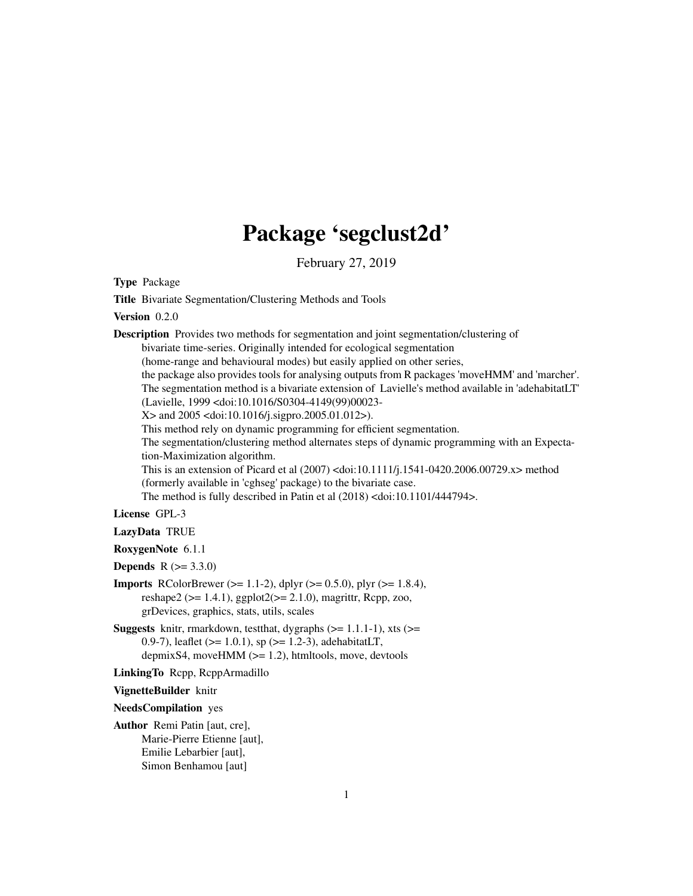# Package 'segclust2d'

February 27, 2019

Type Package

Title Bivariate Segmentation/Clustering Methods and Tools

#### Version 0.2.0

Description Provides two methods for segmentation and joint segmentation/clustering of

bivariate time-series. Originally intended for ecological segmentation

(home-range and behavioural modes) but easily applied on other series,

the package also provides tools for analysing outputs from R packages 'moveHMM' and 'marcher'. The segmentation method is a bivariate extension of Lavielle's method available in 'adehabitatLT' (Lavielle, 1999 <doi:10.1016/S0304-4149(99)00023-

X> and 2005 <doi:10.1016/j.sigpro.2005.01.012>).

This method rely on dynamic programming for efficient segmentation.

The segmentation/clustering method alternates steps of dynamic programming with an Expectation-Maximization algorithm.

This is an extension of Picard et al (2007) <doi:10.1111/j.1541-0420.2006.00729.x> method (formerly available in 'cghseg' package) to the bivariate case.

The method is fully described in Patin et al (2018) <doi:10.1101/444794>.

#### License GPL-3

#### LazyData TRUE

RoxygenNote 6.1.1

**Depends**  $R (= 3.3.0)$ 

- **Imports** RColorBrewer ( $>= 1.1-2$ ), dplyr ( $>= 0.5.0$ ), plyr ( $>= 1.8.4$ ), reshape2 ( $>= 1.4.1$ ), ggplot2( $>= 2.1.0$ ), magrittr, Rcpp, zoo, grDevices, graphics, stats, utils, scales
- **Suggests** knitr, rmarkdown, test that, dygraphs  $(>= 1.1.1-1)$ , xts  $(>= 1.1.1-1)$ 0.9-7), leaflet ( $>= 1.0.1$ ), sp ( $>= 1.2$ -3), adehabitatLT, depmixS4, moveHMM (>= 1.2), htmltools, move, devtools

LinkingTo Rcpp, RcppArmadillo

VignetteBuilder knitr

NeedsCompilation yes

Author Remi Patin [aut, cre], Marie-Pierre Etienne [aut], Emilie Lebarbier [aut], Simon Benhamou [aut]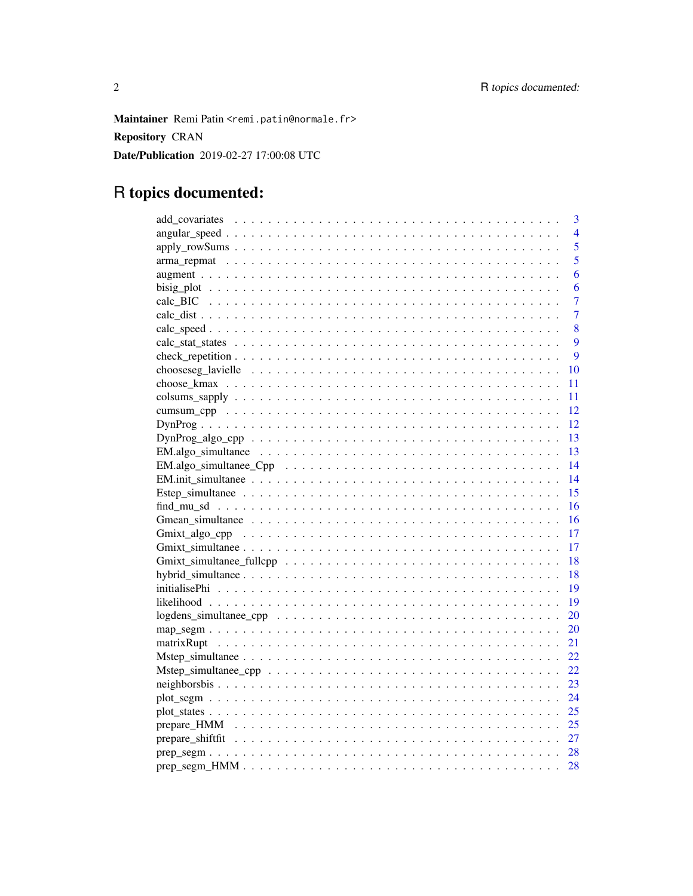Maintainer Remi Patin <remi.patin@normale.fr> **Repository CRAN** Date/Publication 2019-02-27 17:00:08 UTC

## R topics documented:

| 3                                                                                                       |
|---------------------------------------------------------------------------------------------------------|
| 4                                                                                                       |
| 5                                                                                                       |
| 5                                                                                                       |
| 6                                                                                                       |
| 6                                                                                                       |
| $\overline{7}$                                                                                          |
| $\overline{7}$                                                                                          |
| 8                                                                                                       |
| 9                                                                                                       |
| $\overline{9}$                                                                                          |
| 10                                                                                                      |
| 11                                                                                                      |
| 11                                                                                                      |
| 12                                                                                                      |
| 12                                                                                                      |
| 13<br>$DynProg\_algo\_cpp \ldots \ldots \ldots \ldots \ldots \ldots \ldots \ldots \ldots \ldots \ldots$ |
| 13                                                                                                      |
| 14                                                                                                      |
| 14                                                                                                      |
| 15                                                                                                      |
| 16                                                                                                      |
| 16                                                                                                      |
| 17                                                                                                      |
| 17                                                                                                      |
| 18                                                                                                      |
| 18                                                                                                      |
| 19                                                                                                      |
| 19                                                                                                      |
| 20                                                                                                      |
| 20                                                                                                      |
| 21                                                                                                      |
| 22                                                                                                      |
| 22                                                                                                      |
| 23                                                                                                      |
| 24                                                                                                      |
| 25                                                                                                      |
|                                                                                                         |
| 27                                                                                                      |
| 28                                                                                                      |
| 28                                                                                                      |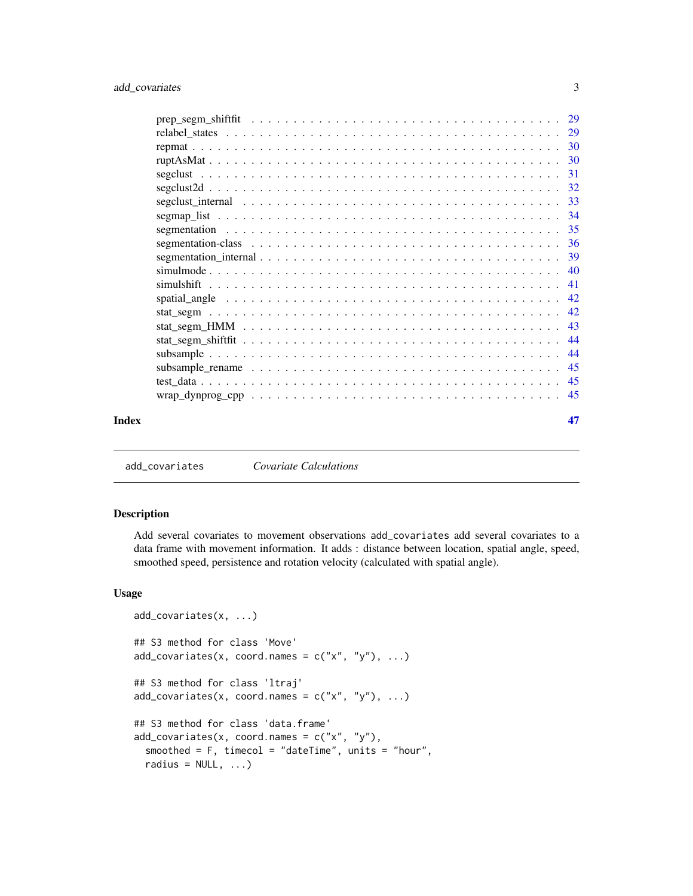<span id="page-2-0"></span>

| Index |                                                                                                                    | 47 |
|-------|--------------------------------------------------------------------------------------------------------------------|----|
|       | $wrap\_dynprog\_cpp \ldots \ldots \ldots \ldots \ldots \ldots \ldots \ldots \ldots \ldots \ldots \ldots \ldots 45$ |    |
|       |                                                                                                                    |    |
|       |                                                                                                                    |    |
|       |                                                                                                                    |    |
|       |                                                                                                                    |    |
|       |                                                                                                                    |    |
|       |                                                                                                                    |    |
|       |                                                                                                                    |    |
|       | simulshift                                                                                                         |    |
|       |                                                                                                                    |    |
|       |                                                                                                                    |    |
|       |                                                                                                                    |    |
|       |                                                                                                                    |    |
|       |                                                                                                                    |    |
|       |                                                                                                                    |    |
|       |                                                                                                                    |    |
|       |                                                                                                                    |    |
|       |                                                                                                                    |    |
|       |                                                                                                                    |    |
|       |                                                                                                                    |    |
|       |                                                                                                                    |    |

add\_covariates *Covariate Calculations*

#### Description

Add several covariates to movement observations add\_covariates add several covariates to a data frame with movement information. It adds : distance between location, spatial angle, speed, smoothed speed, persistence and rotation velocity (calculated with spatial angle).

#### Usage

```
add_covariates(x, ...)
## S3 method for class 'Move'
add\_covariates(x, coord.name = c("x", "y"), ...)## S3 method for class 'ltraj'
add\_covariates(x, coord.name = c("x", "y"), ...)## S3 method for class 'data.frame'
add\_covariates(x, coord.names = c("x", "y"),smoothed = F, timecol = "dateTime", units = "hour",
  radius = NULL, ...)
```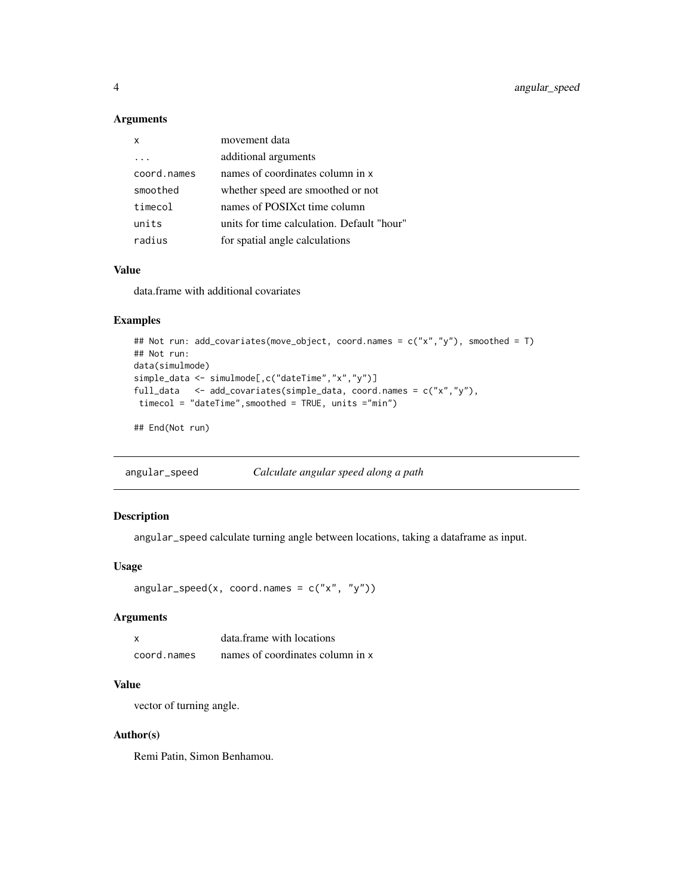<span id="page-3-0"></span>4 angular\_speed

#### Arguments

| x           | movement data                              |
|-------------|--------------------------------------------|
|             | additional arguments                       |
| coord.names | names of coordinates column in x           |
| smoothed    | whether speed are smoothed or not          |
| timecol     | names of POSIX ct time column              |
| units       | units for time calculation. Default "hour" |
| radius      | for spatial angle calculations             |

### Value

data.frame with additional covariates

### Examples

```
## Not run: add_covariates(move_object, coord.names = c("x","y"), smoothed = T)
## Not run:
data(simulmode)
simple_data <- simulmode[,c("dateTime","x","y")]
full_data <- add_covariates(simple_data, coord.names = c("x","y"),
timecol = "dateTime",smoothed = TRUE, units ="min")
```
## End(Not run)

angular\_speed *Calculate angular speed along a path*

### Description

angular\_speed calculate turning angle between locations, taking a dataframe as input.

#### Usage

```
angular_speed(x, coord.names = c("x", "y"))
```
#### Arguments

| X           | data frame with locations        |
|-------------|----------------------------------|
| coord.names | names of coordinates column in x |

#### Value

vector of turning angle.

### Author(s)

Remi Patin, Simon Benhamou.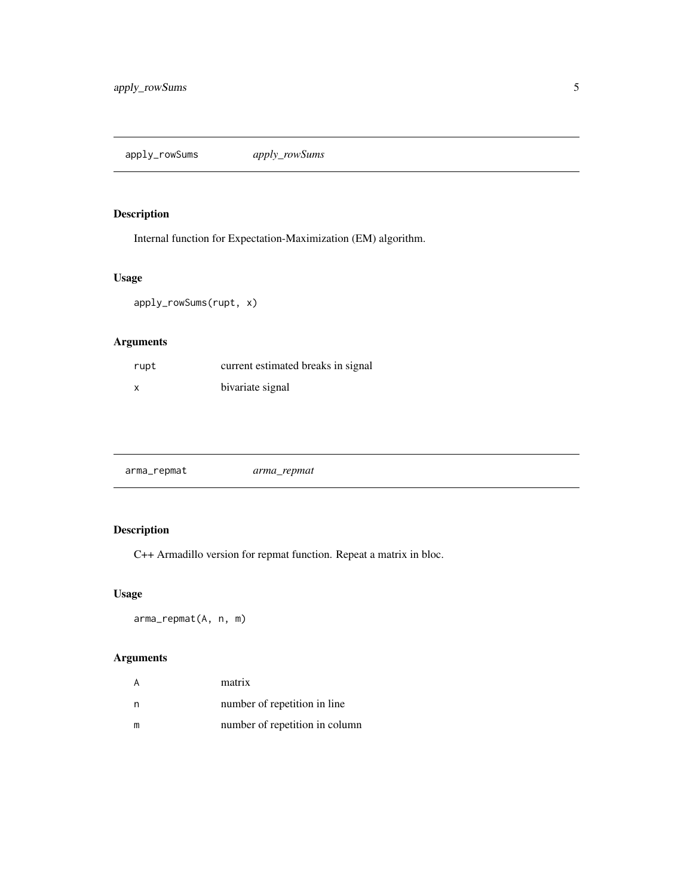<span id="page-4-0"></span>apply\_rowSums *apply\_rowSums*

### Description

Internal function for Expectation-Maximization (EM) algorithm.

### Usage

apply\_rowSums(rupt, x)

### Arguments

| rupt | current estimated breaks in signal |
|------|------------------------------------|
| x    | bivariate signal                   |

| arma_repmat |  |
|-------------|--|
|-------------|--|

### Description

C++ Armadillo version for repmat function. Repeat a matrix in bloc.

### Usage

arma\_repmat(A, n, m)

### Arguments

|   | matrix                         |
|---|--------------------------------|
| n | number of repetition in line.  |
| m | number of repetition in column |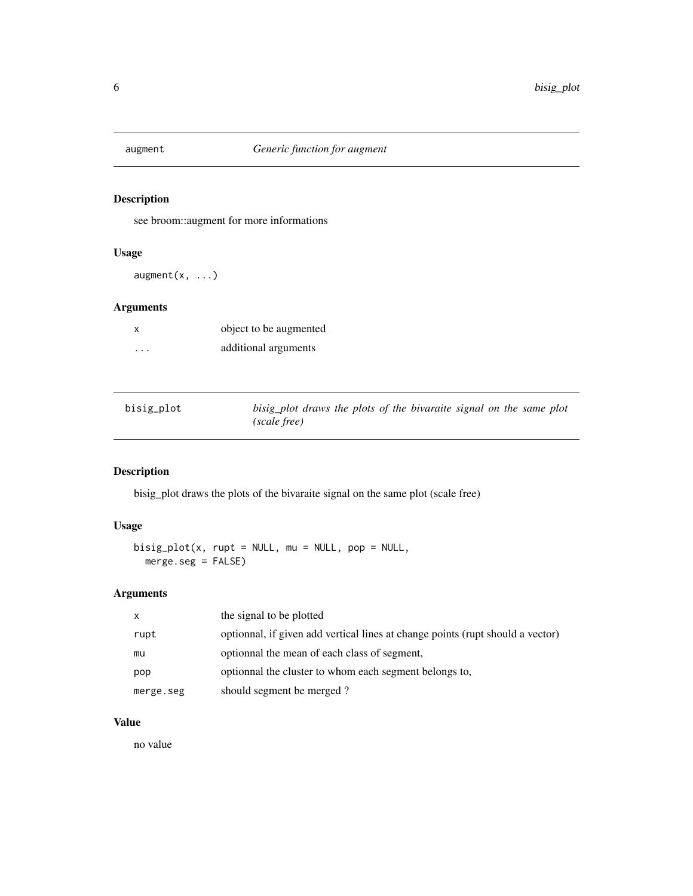<span id="page-5-0"></span>

see broom::augment for more informations

#### Usage

 $augment(x, ...)$ 

### Arguments

| X        | object to be augmented |  |
|----------|------------------------|--|
| $\cdots$ | additional arguments   |  |

| bisig_plot | bisig plot draws the plots of the bivaraite signal on the same plot |
|------------|---------------------------------------------------------------------|
|            | (scale free)                                                        |

### Description

bisig\_plot draws the plots of the bivaraite signal on the same plot (scale free)

### Usage

 $bisig_plot(x, rupt = NULL, mu = NULL, pop = NULL,$ merge.seg = FALSE)

### Arguments

| X         | the signal to be plotted                                                       |
|-----------|--------------------------------------------------------------------------------|
| rupt      | optionnal, if given add vertical lines at change points (rupt should a vector) |
| mu        | optionnal the mean of each class of segment,                                   |
| pop       | optionnal the cluster to whom each segment belongs to,                         |
| merge.seg | should segment be merged?                                                      |

### Value

no value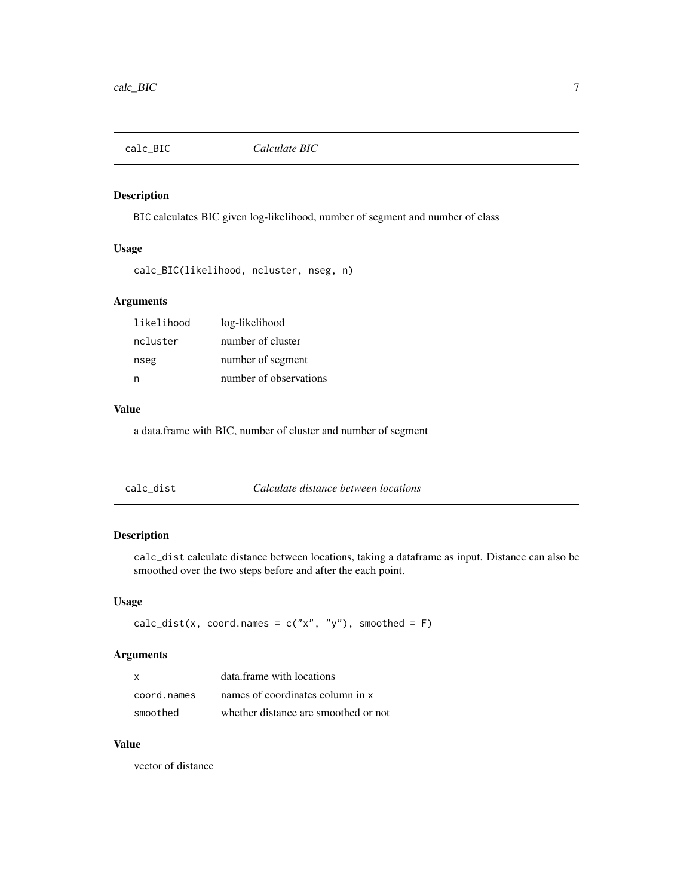<span id="page-6-0"></span>

BIC calculates BIC given log-likelihood, number of segment and number of class

### Usage

```
calc_BIC(likelihood, ncluster, nseg, n)
```
#### Arguments

| likelihood | log-likelihood         |
|------------|------------------------|
| ncluster   | number of cluster      |
| nseg       | number of segment      |
| n          | number of observations |

#### Value

a data.frame with BIC, number of cluster and number of segment

| Calculate distance between locations<br>calc dist |  |
|---------------------------------------------------|--|
|---------------------------------------------------|--|

## Description

calc\_dist calculate distance between locations, taking a dataframe as input. Distance can also be smoothed over the two steps before and after the each point.

#### Usage

```
calc_dist(x, coord.names = c("x", "y"), smoothed = F)
```
### Arguments

| x           | data.frame with locations            |
|-------------|--------------------------------------|
| coord.names | names of coordinates column in x     |
| smoothed    | whether distance are smoothed or not |

#### Value

vector of distance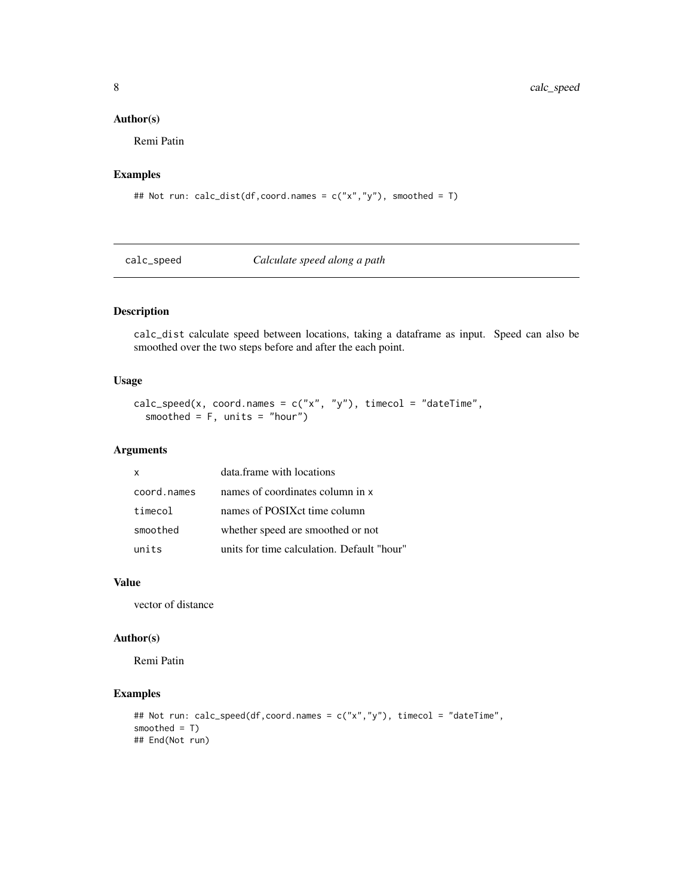#### Author(s)

Remi Patin

### Examples

## Not run: calc\_dist(df,coord.names = c("x","y"), smoothed = T)

calc\_speed *Calculate speed along a path*

### Description

calc\_dist calculate speed between locations, taking a dataframe as input. Speed can also be smoothed over the two steps before and after the each point.

#### Usage

```
calc_speed(x, coord.names = c("x", "y"), timecol = "dateTime",
  smoothed = F, units = "hour")
```
#### Arguments

| $\boldsymbol{\mathsf{x}}$ | data.frame with locations                  |
|---------------------------|--------------------------------------------|
| coord.names               | names of coordinates column in x           |
| timecol                   | names of POSIX ct time column              |
| smoothed                  | whether speed are smoothed or not          |
| units                     | units for time calculation. Default "hour" |

#### Value

vector of distance

#### Author(s)

Remi Patin

### Examples

```
## Not run: calc_speed(df,coord.names = c("x","y"), timecol = "dateTime",
smoothed = T)
## End(Not run)
```
<span id="page-7-0"></span>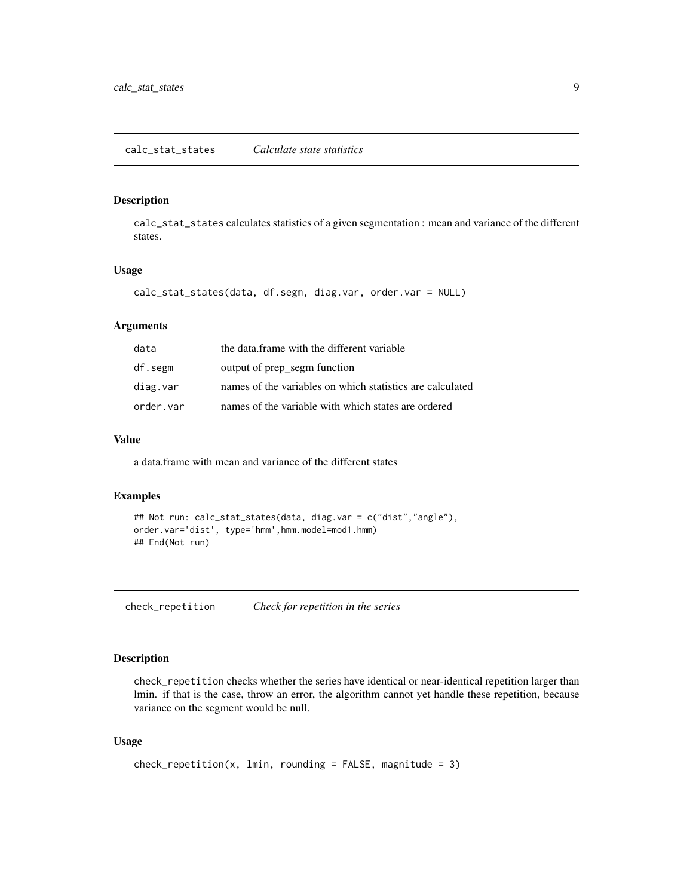### <span id="page-8-0"></span>calc\_stat\_states *Calculate state statistics*

#### Description

calc\_stat\_states calculates statistics of a given segmentation : mean and variance of the different states.

#### Usage

```
calc_stat_states(data, df.segm, diag.var, order.var = NULL)
```
#### Arguments

| data      | the data frame with the different variable                |
|-----------|-----------------------------------------------------------|
| df.segm   | output of prep segm function                              |
| diag.var  | names of the variables on which statistics are calculated |
| order.var | names of the variable with which states are ordered       |

#### Value

a data.frame with mean and variance of the different states

#### Examples

```
## Not run: calc_stat_states(data, diag.var = c("dist","angle"),
order.var='dist', type='hmm',hmm.model=mod1.hmm)
## End(Not run)
```
check\_repetition *Check for repetition in the series*

#### Description

check\_repetition checks whether the series have identical or near-identical repetition larger than lmin. if that is the case, throw an error, the algorithm cannot yet handle these repetition, because variance on the segment would be null.

### Usage

```
check_repetition(x, lmin, rounding = FALSE, magnitude = 3)
```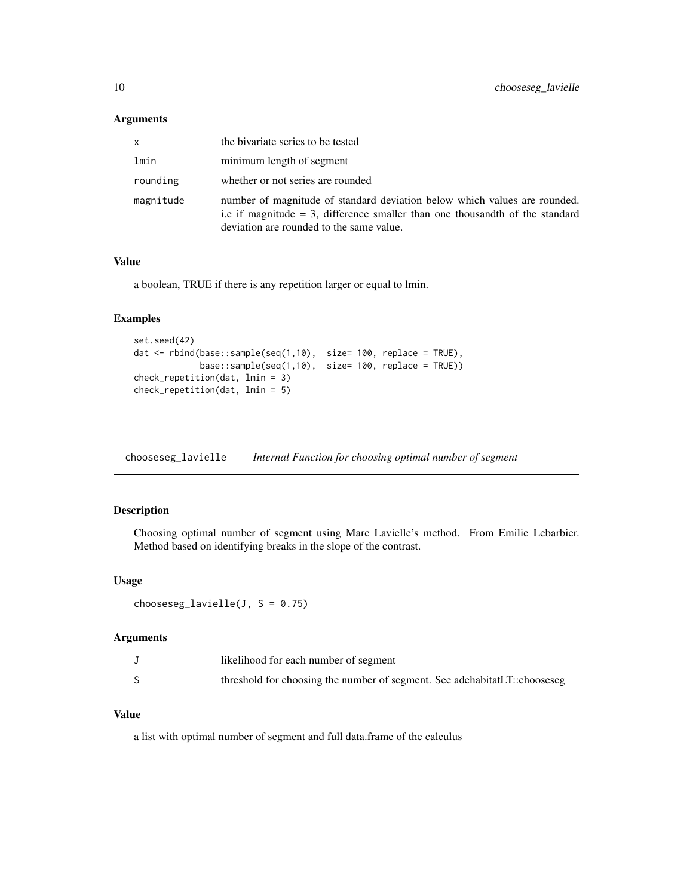#### <span id="page-9-0"></span>Arguments

| X         | the bivariate series to be tested                                                                                                                                                                        |
|-----------|----------------------------------------------------------------------------------------------------------------------------------------------------------------------------------------------------------|
| lmin      | minimum length of segment                                                                                                                                                                                |
| rounding  | whether or not series are rounded                                                                                                                                                                        |
| magnitude | number of magnitude of standard deviation below which values are rounded.<br>i.e if magnitude $=$ 3, difference smaller than one thousand th of the standard<br>deviation are rounded to the same value. |

#### Value

a boolean, TRUE if there is any repetition larger or equal to lmin.

#### Examples

```
set.seed(42)
dat <- rbind(base::sample(seq(1,10), size= 100, replace = TRUE),
             base::sample(seq(1,10), size= 100, replace = TRUE))
check_repetition(dat, lmin = 3)
check_repetition(dat, lmin = 5)
```
<span id="page-9-1"></span>chooseseg\_lavielle *Internal Function for choosing optimal number of segment*

### Description

Choosing optimal number of segment using Marc Lavielle's method. From Emilie Lebarbier. Method based on identifying breaks in the slope of the contrast.

#### Usage

chooseseg\_lavielle(J,  $S = 0.75$ )

#### Arguments

| likelihood for each number of segment                                     |
|---------------------------------------------------------------------------|
| threshold for choosing the number of segment. See adehabitatLT::chooseseg |

#### Value

a list with optimal number of segment and full data.frame of the calculus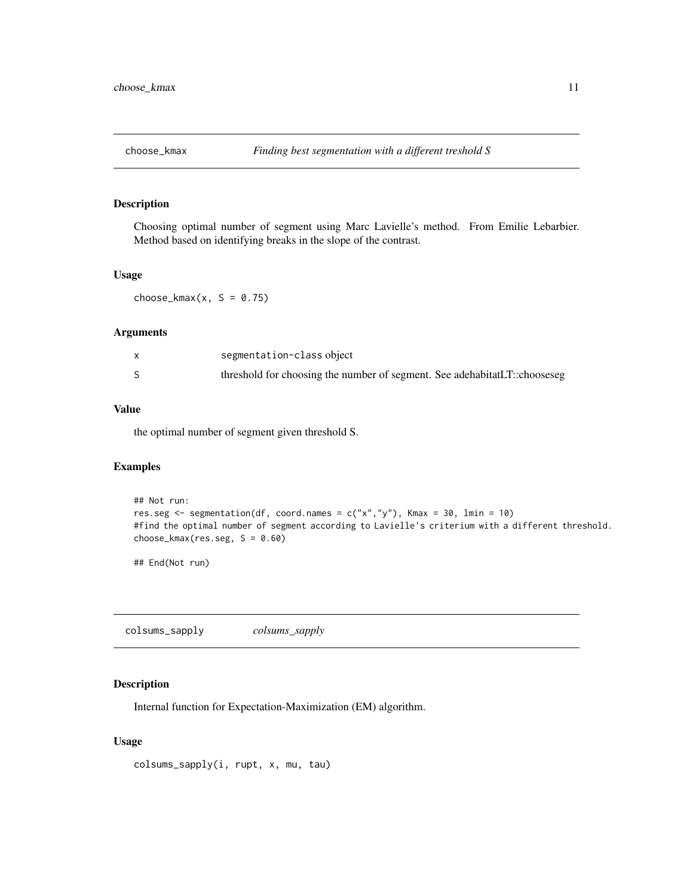<span id="page-10-0"></span>

Choosing optimal number of segment using Marc Lavielle's method. From Emilie Lebarbier. Method based on identifying breaks in the slope of the contrast.

### Usage

 $choose\_kmax(x, S = 0.75)$ 

#### Arguments

| segmentation-class object                                                 |
|---------------------------------------------------------------------------|
| threshold for choosing the number of segment. See adehabitatLT::chooseseg |

#### Value

the optimal number of segment given threshold S.

### Examples

```
## Not run:
res.seg <- segmentation(df, coord.names = c("x","y"), Kmax = 30, lmin = 10)
#find the optimal number of segment according to Lavielle's criterium with a different threshold.
choose_kmax(res.seg, S = 0.60)
```
## End(Not run)

colsums\_sapply *colsums\_sapply*

### Description

Internal function for Expectation-Maximization (EM) algorithm.

#### Usage

colsums\_sapply(i, rupt, x, mu, tau)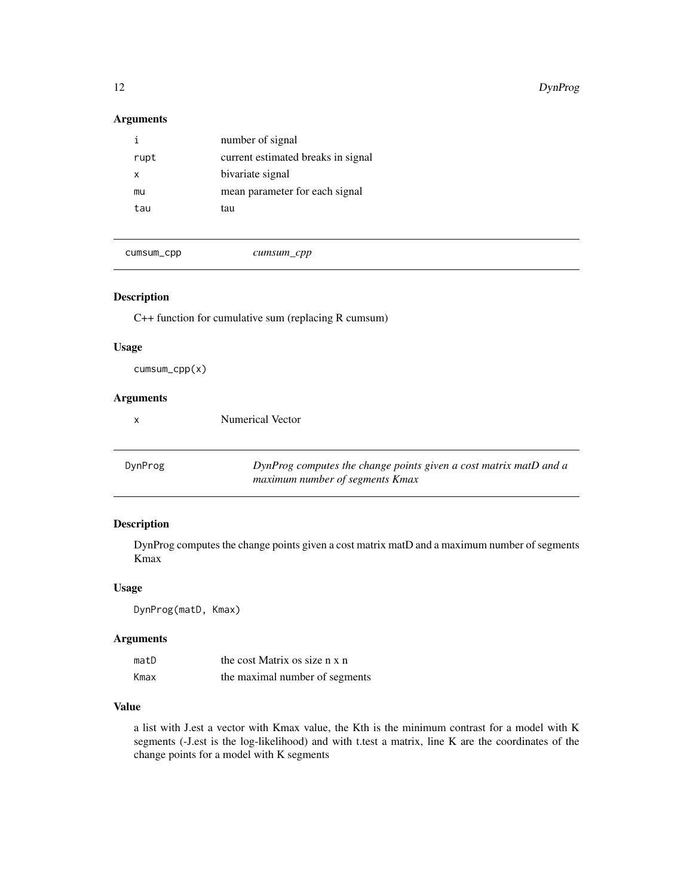#### <span id="page-11-0"></span>Arguments

| Ť.   | number of signal                   |
|------|------------------------------------|
| rupt | current estimated breaks in signal |
| x    | bivariate signal                   |
| mu   | mean parameter for each signal     |
| tau  | tau                                |
|      |                                    |

cumsum\_cpp *cumsum\_cpp*

### Description

C++ function for cumulative sum (replacing R cumsum)

Numerical Vector

#### Usage

cumsum\_cpp(x)

### Arguments

| x |
|---|
|---|

<span id="page-11-1"></span>DynProg *DynProg computes the change points given a cost matrix matD and a maximum number of segments Kmax*

### Description

DynProg computes the change points given a cost matrix matD and a maximum number of segments Kmax

#### Usage

DynProg(matD, Kmax)

#### Arguments

| matD | the cost Matrix os size n x n  |
|------|--------------------------------|
| Kmax | the maximal number of segments |

### Value

a list with J.est a vector with Kmax value, the Kth is the minimum contrast for a model with K segments (-J.est is the log-likelihood) and with t.test a matrix, line K are the coordinates of the change points for a model with K segments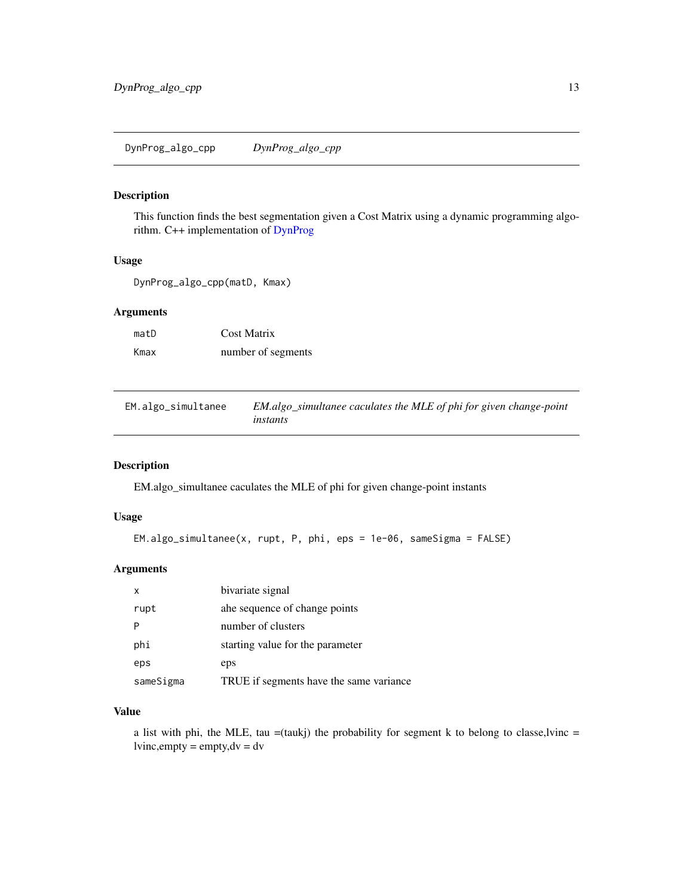<span id="page-12-0"></span>This function finds the best segmentation given a Cost Matrix using a dynamic programming algorithm. C++ implementation of [DynProg](#page-11-1)

### Usage

DynProg\_algo\_cpp(matD, Kmax)

### Arguments

| matD | <b>Cost Matrix</b> |
|------|--------------------|
| Kmax | number of segments |

EM.algo\_simultanee *EM.algo\_simultanee caculates the MLE of phi for given change-point instants*

#### Description

EM.algo\_simultanee caculates the MLE of phi for given change-point instants

#### Usage

```
EM.algo_simultanee(x, rupt, P, phi, eps = 1e-06, sameSigma = FALSE)
```
#### Arguments

| x         | bivariate signal                        |
|-----------|-----------------------------------------|
| rupt      | ahe sequence of change points           |
|           | number of clusters                      |
| phi       | starting value for the parameter        |
| eps       | eps                                     |
| sameSigma | TRUE if segments have the same variance |

#### Value

a list with phi, the MLE, tau =(taukj) the probability for segment k to belong to classe,lyinc =  $lvinc, empty = empty, dv = dv$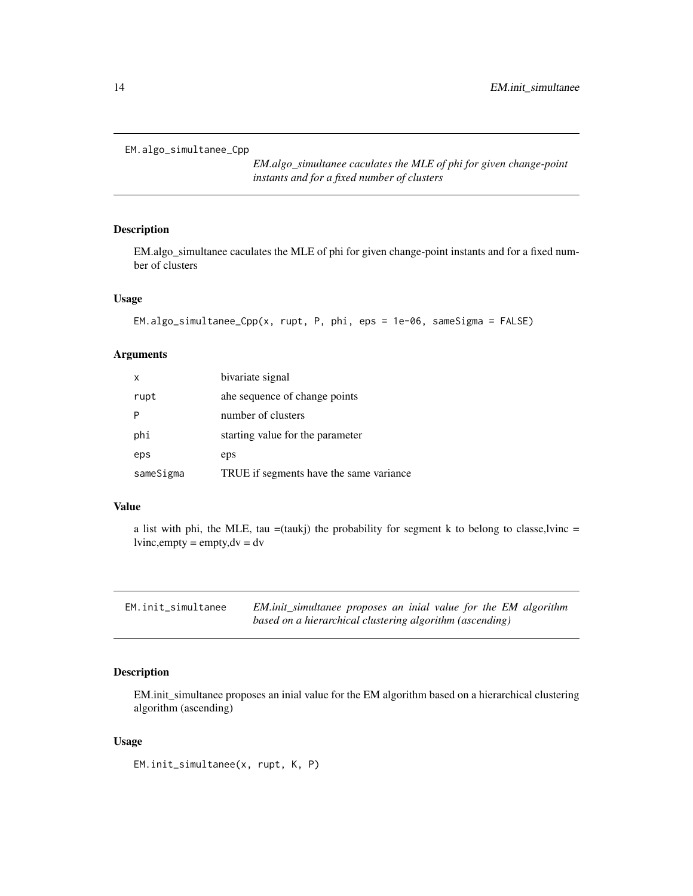```
EM.algo_simultanee_Cpp
```
*EM.algo\_simultanee caculates the MLE of phi for given change-point instants and for a fixed number of clusters*

### Description

EM.algo\_simultanee caculates the MLE of phi for given change-point instants and for a fixed number of clusters

#### Usage

```
EM.algo_simultanee_Cpp(x, rupt, P, phi, eps = 1e-06, sameSigma = FALSE)
```
### Arguments

| x         | bivariate signal                        |
|-----------|-----------------------------------------|
| rupt      | ahe sequence of change points           |
|           | number of clusters                      |
| phi       | starting value for the parameter        |
| eps       | eps                                     |
| sameSigma | TRUE if segments have the same variance |

#### Value

a list with phi, the MLE, tau  $=$ (taukj) the probability for segment k to belong to classe,lyinc  $=$  $lvinc, empty = empty, dv = dv$ 

| EM.init_simultanee |                                                          | EM.init_simultanee proposes an inial value for the EM algorithm |
|--------------------|----------------------------------------------------------|-----------------------------------------------------------------|
|                    | based on a hierarchical clustering algorithm (ascending) |                                                                 |

#### Description

EM.init\_simultanee proposes an inial value for the EM algorithm based on a hierarchical clustering algorithm (ascending)

#### Usage

EM.init\_simultanee(x, rupt, K, P)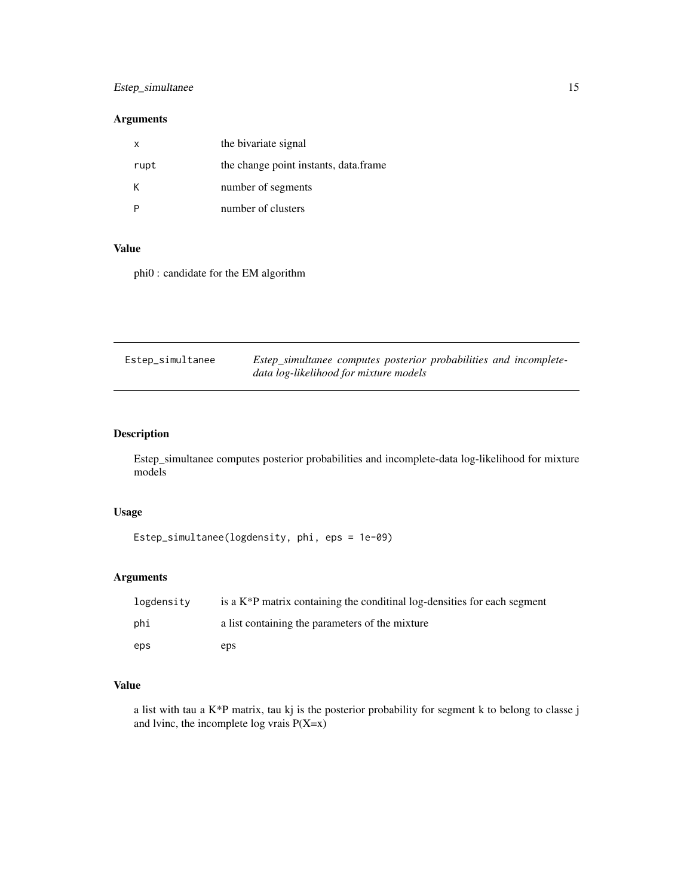### <span id="page-14-0"></span>Estep\_simultanee 15

### Arguments

| x    | the bivariate signal                  |
|------|---------------------------------------|
| rupt | the change point instants, data.frame |
| Κ    | number of segments                    |
|      | number of clusters                    |

#### Value

phi0 : candidate for the EM algorithm

| Estep_simultanee | Estep_simultanee computes posterior probabilities and incomplete- |
|------------------|-------------------------------------------------------------------|
|                  | data log-likelihood for mixture models                            |

### Description

Estep\_simultanee computes posterior probabilities and incomplete-data log-likelihood for mixture models

### Usage

```
Estep_simultanee(logdensity, phi, eps = 1e-09)
```
### Arguments

| logdensity | is a $K^*P$ matrix containing the conditinal log-densities for each segment |
|------------|-----------------------------------------------------------------------------|
| phi        | a list containing the parameters of the mixture                             |
| eps        | eps                                                                         |

### Value

a list with tau a K\*P matrix, tau kj is the posterior probability for segment k to belong to classe j and lvinc, the incomplete log vrais  $P(X=x)$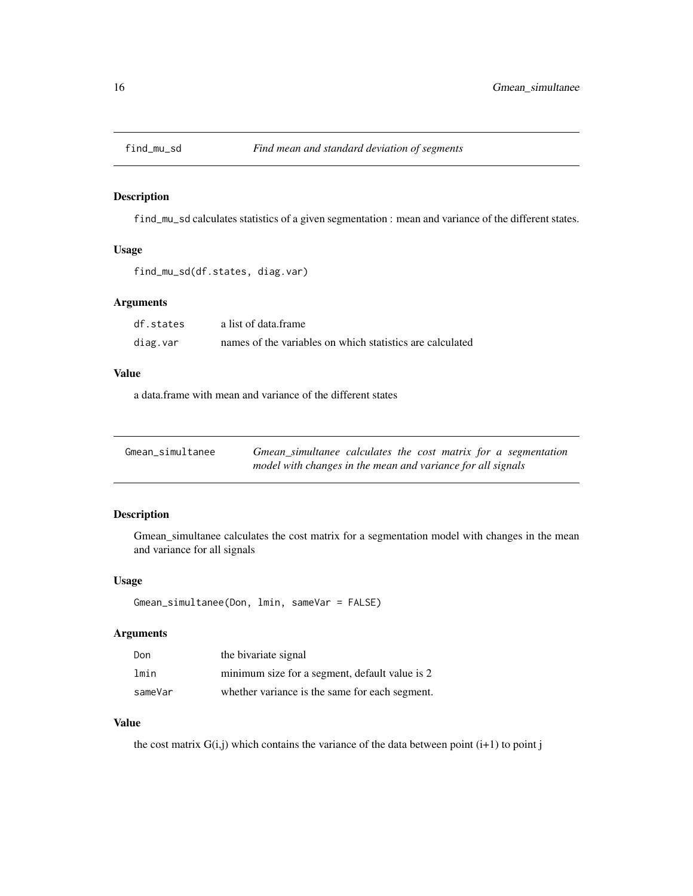<span id="page-15-0"></span>

find\_mu\_sd calculates statistics of a given segmentation : mean and variance of the different states.

#### Usage

```
find_mu_sd(df.states, diag.var)
```
### Arguments

| df.states | a list of data frame                                      |
|-----------|-----------------------------------------------------------|
| diag.var  | names of the variables on which statistics are calculated |

#### Value

a data.frame with mean and variance of the different states

| Gmean_simultanee | Gmean_simultanee calculates the cost matrix for a segmentation |
|------------------|----------------------------------------------------------------|
|                  | model with changes in the mean and variance for all signals    |

### Description

Gmean\_simultanee calculates the cost matrix for a segmentation model with changes in the mean and variance for all signals

#### Usage

```
Gmean_simultanee(Don, lmin, sameVar = FALSE)
```
### Arguments

| Don     | the bivariate signal                           |
|---------|------------------------------------------------|
| lmin    | minimum size for a segment, default value is 2 |
| sameVar | whether variance is the same for each segment. |

#### Value

the cost matrix  $G(i,j)$  which contains the variance of the data between point  $(i+1)$  to point j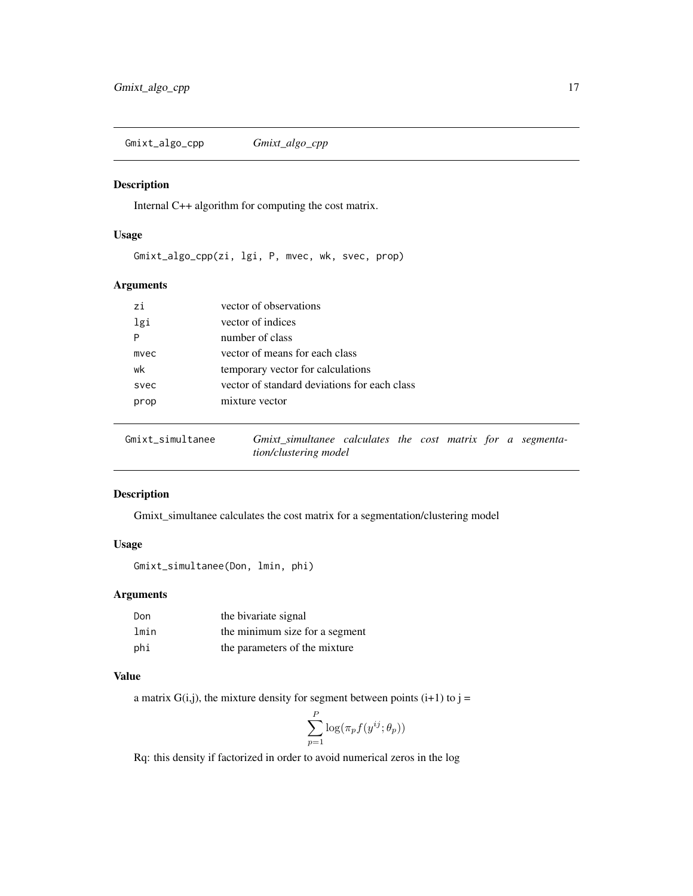<span id="page-16-0"></span>Gmixt\_algo\_cpp *Gmixt\_algo\_cpp*

#### Description

Internal C++ algorithm for computing the cost matrix.

#### Usage

Gmixt\_algo\_cpp(zi, lgi, P, mvec, wk, svec, prop)

### Arguments

| zi   | vector of observations                       |
|------|----------------------------------------------|
| lgi  | vector of indices                            |
| P    | number of class                              |
| mvec | vector of means for each class               |
| wk   | temporary vector for calculations            |
| svec | vector of standard deviations for each class |
| prop | mixture vector                               |
|      |                                              |

<span id="page-16-1"></span>Gmixt\_simultanee *Gmixt\_simultanee calculates the cost matrix for a segmentation/clustering model*

#### Description

Gmixt\_simultanee calculates the cost matrix for a segmentation/clustering model

#### Usage

```
Gmixt_simultanee(Don, lmin, phi)
```
### Arguments

| Don  | the bivariate signal           |
|------|--------------------------------|
| lmin | the minimum size for a segment |
| phi  | the parameters of the mixture  |

#### Value

a matrix  $G(i,j)$ , the mixture density for segment between points  $(i+1)$  to  $j =$ 

$$
\sum_{p=1}^{P} \log(\pi_p f(y^{ij}; \theta_p))
$$

Rq: this density if factorized in order to avoid numerical zeros in the log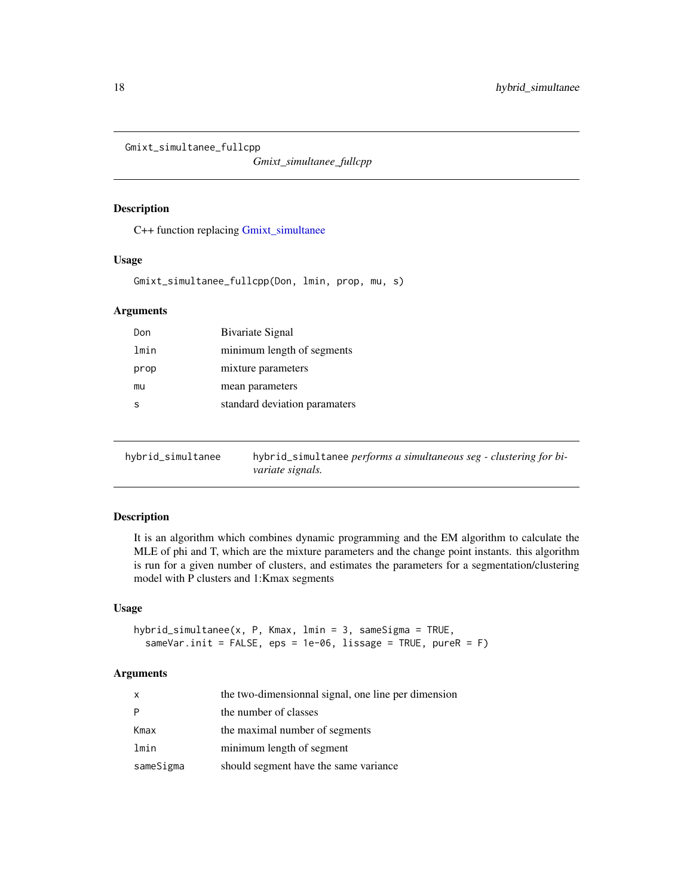<span id="page-17-0"></span>Gmixt\_simultanee\_fullcpp

*Gmixt\_simultanee\_fullcpp*

#### Description

C++ function replacing [Gmixt\\_simultanee](#page-16-1)

#### Usage

Gmixt\_simultanee\_fullcpp(Don, lmin, prop, mu, s)

### Arguments

| Don  | <b>Bivariate Signal</b>       |
|------|-------------------------------|
| lmin | minimum length of segments    |
| prop | mixture parameters            |
| mu   | mean parameters               |
| S    | standard deviation paramaters |
|      |                               |

hybrid\_simultanee hybrid\_simultanee *performs a simultaneous seg - clustering for bivariate signals.*

### Description

It is an algorithm which combines dynamic programming and the EM algorithm to calculate the MLE of phi and T, which are the mixture parameters and the change point instants. this algorithm is run for a given number of clusters, and estimates the parameters for a segmentation/clustering model with P clusters and 1:Kmax segments

### Usage

```
hybrid_simultanee(x, P, Kmax, lmin = 3, sameSigma = TRUE,
  sameVar.init = FALSE, eps = 1e-06, lissage = TRUE, pureR = F)
```
#### Arguments

| X         | the two-dimensionnal signal, one line per dimension |
|-----------|-----------------------------------------------------|
| P         | the number of classes                               |
| Kmax      | the maximal number of segments                      |
| lmin      | minimum length of segment                           |
| sameSigma | should segment have the same variance               |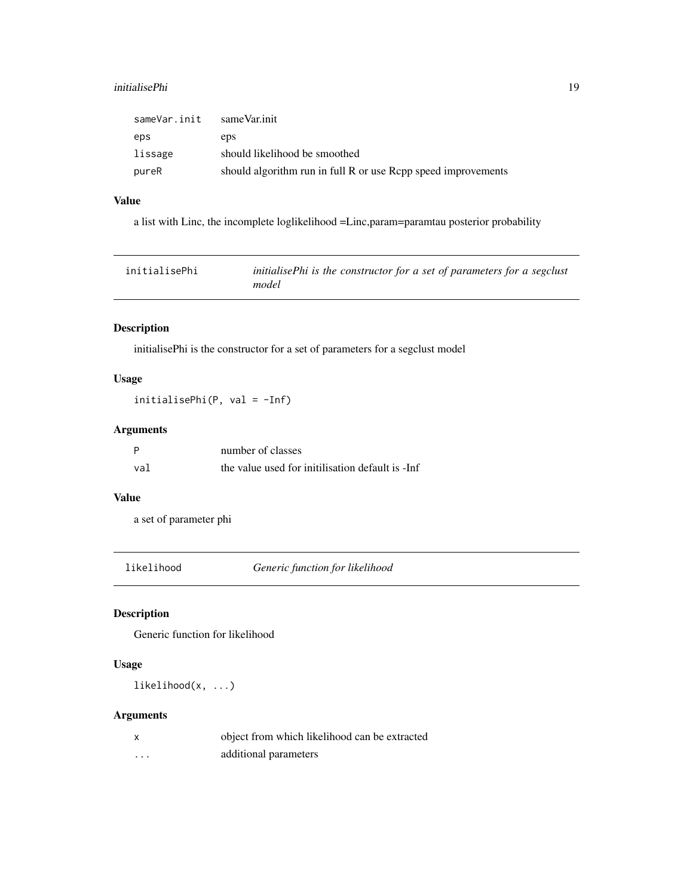#### <span id="page-18-0"></span>initialisePhi 19

| sameVar.init | sameVar.init                                                  |
|--------------|---------------------------------------------------------------|
| eps          | eps                                                           |
| lissage      | should likelihood be smoothed                                 |
| pureR        | should algorithm run in full R or use Rcpp speed improvements |

### Value

a list with Linc, the incomplete loglikelihood =Linc,param=paramtau posterior probability

| initialisePhi | initialisePhi is the constructor for a set of parameters for a segclust |
|---------------|-------------------------------------------------------------------------|
|               | model                                                                   |

### Description

initialisePhi is the constructor for a set of parameters for a segclust model

### Usage

initialisePhi(P, val = -Inf)

## Arguments

| P   | number of classes                                |
|-----|--------------------------------------------------|
| val | the value used for initilisation default is -Inf |

### Value

a set of parameter phi

likelihood *Generic function for likelihood*

### Description

Generic function for likelihood

### Usage

likelihood(x, ...)

### Arguments

| X       | object from which likelihood can be extracted |
|---------|-----------------------------------------------|
| $\cdot$ | additional parameters                         |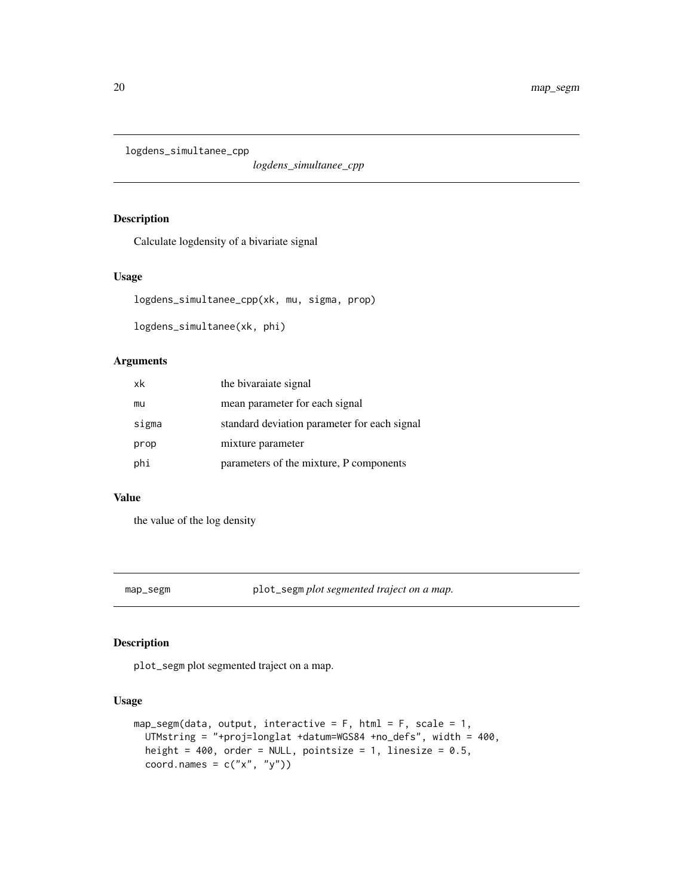<span id="page-19-0"></span>logdens\_simultanee\_cpp

*logdens\_simultanee\_cpp*

#### Description

Calculate logdensity of a bivariate signal

### Usage

```
logdens_simultanee_cpp(xk, mu, sigma, prop)
```
logdens\_simultanee(xk, phi)

#### Arguments

| xk    | the bivaraiate signal                        |
|-------|----------------------------------------------|
| mu    | mean parameter for each signal               |
| sigma | standard deviation parameter for each signal |
| prop  | mixture parameter                            |
| phi   | parameters of the mixture, P components      |

### Value

the value of the log density

map\_segm plot\_segm *plot segmented traject on a map.*

#### Description

plot\_segm plot segmented traject on a map.

#### Usage

```
map\_segm(data, output, interactive = F, html = F, scale = 1,UTMstring = "+proj=longlat +datum=WGS84 +no_defs", width = 400,
 height = 400, order = NULL, pointsize = 1, linesize = 0.5,
 coord.names = c("x", "y")
```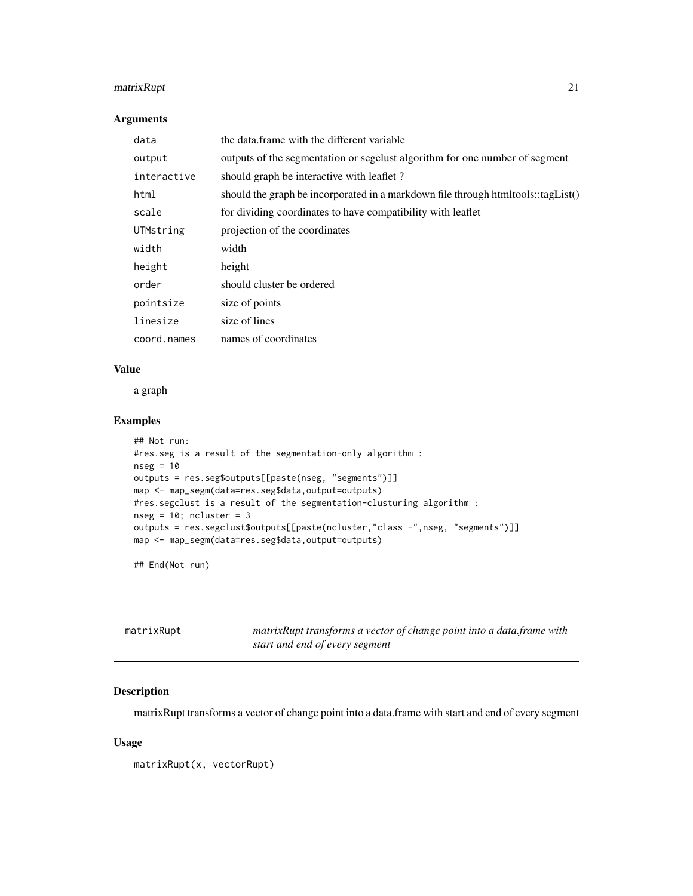### <span id="page-20-0"></span>matrixRupt 21

#### Arguments

| data        | the data frame with the different variable                                       |
|-------------|----------------------------------------------------------------------------------|
| output      | outputs of the segmentation or segclust algorithm for one number of segment      |
| interactive | should graph be interactive with leaflet?                                        |
| html        | should the graph be incorporated in a markdown file through htmltools::tagList() |
| scale       | for dividing coordinates to have compatibility with leaflet                      |
| UTMstring   | projection of the coordinates                                                    |
| width       | width                                                                            |
| height      | height                                                                           |
| order       | should cluster be ordered                                                        |
| pointsize   | size of points                                                                   |
| linesize    | size of lines                                                                    |
| coord.names | names of coordinates                                                             |

### Value

a graph

#### Examples

```
## Not run:
#res.seg is a result of the segmentation-only algorithm :
nseg = 10outputs = res.seg$outputs[[paste(nseg, "segments")]]
map <- map_segm(data=res.seg$data,output=outputs)
#res.segclust is a result of the segmentation-clusturing algorithm :
nseg = 10; ncluster = 3
outputs = res.segclust$outputs[[paste(ncluster,"class -",nseg, "segments")]]
map <- map_segm(data=res.seg$data,output=outputs)
```
## End(Not run)

| matrixRupt | matrix Rupt transforms a vector of change point into a data frame with<br>start and end of every segment |
|------------|----------------------------------------------------------------------------------------------------------|
|            |                                                                                                          |

### Description

matrixRupt transforms a vector of change point into a data.frame with start and end of every segment

#### Usage

matrixRupt(x, vectorRupt)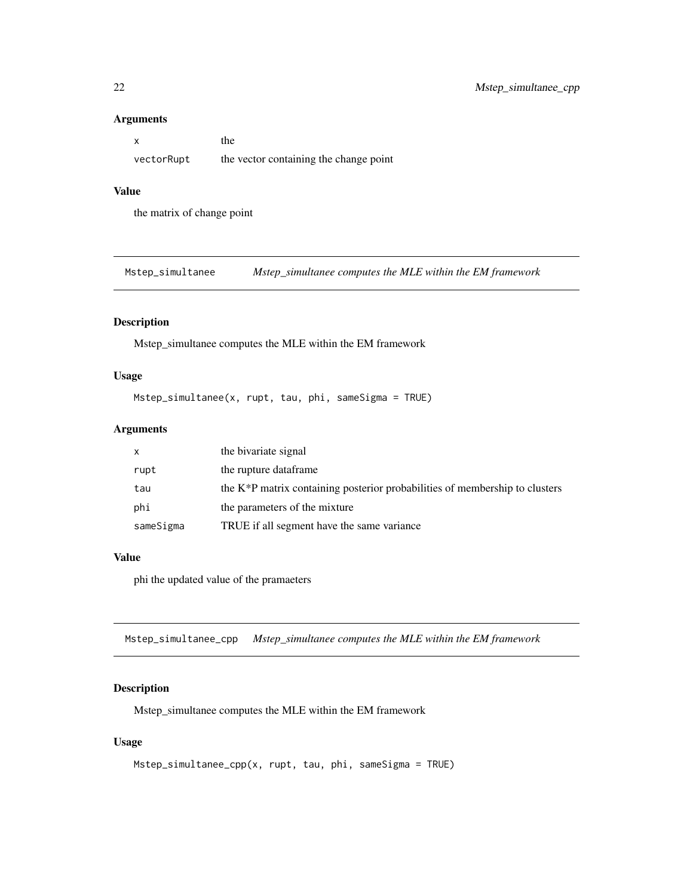#### Arguments

|            | the                                    |
|------------|----------------------------------------|
| vectorRupt | the vector containing the change point |

#### Value

the matrix of change point

Mstep\_simultanee *Mstep\_simultanee computes the MLE within the EM framework*

#### Description

Mstep\_simultanee computes the MLE within the EM framework

### Usage

Mstep\_simultanee(x, rupt, tau, phi, sameSigma = TRUE)

### Arguments

| X         | the bivariate signal                                                                     |
|-----------|------------------------------------------------------------------------------------------|
| rupt      | the rupture dataframe                                                                    |
| tau       | the K <sup>*</sup> P matrix containing posterior probabilities of membership to clusters |
| phi       | the parameters of the mixture                                                            |
| sameSigma | TRUE if all segment have the same variance                                               |

#### Value

phi the updated value of the pramaeters

Mstep\_simultanee\_cpp *Mstep\_simultanee computes the MLE within the EM framework*

#### Description

Mstep\_simultanee computes the MLE within the EM framework

#### Usage

```
Mstep_simultanee_cpp(x, rupt, tau, phi, sameSigma = TRUE)
```
<span id="page-21-0"></span>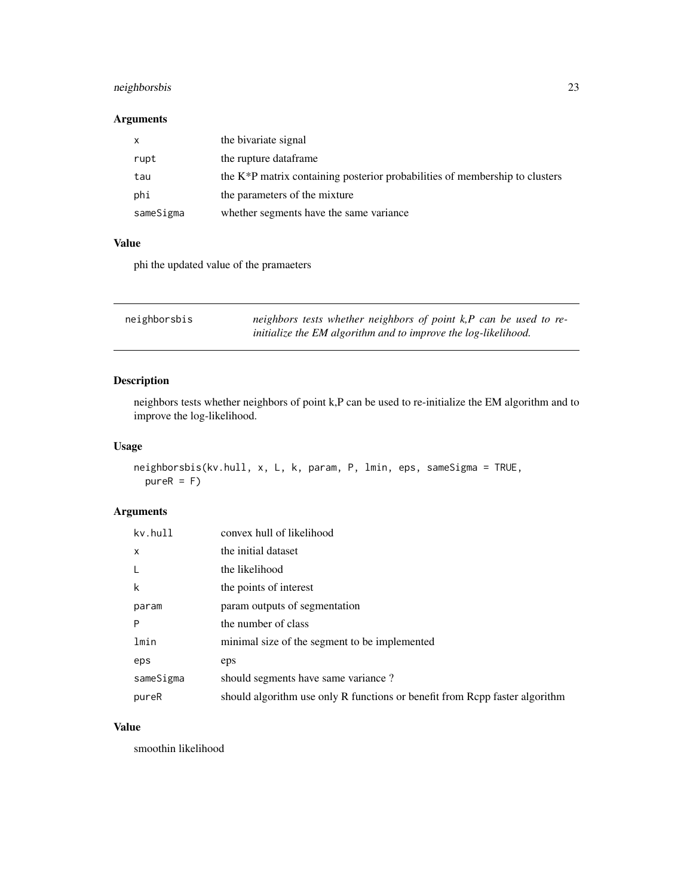### <span id="page-22-0"></span>neighborsbis 23

### Arguments

| X         | the bivariate signal                                                           |
|-----------|--------------------------------------------------------------------------------|
| rupt      | the rupture dataframe                                                          |
| tau       | the $K^*P$ matrix containing posterior probabilities of membership to clusters |
| phi       | the parameters of the mixture                                                  |
| sameSigma | whether segments have the same variance                                        |

### Value

phi the updated value of the pramaeters

| neighborsbis | neighbors tests whether neighbors of point $k$ , $P$ can be used to re- |
|--------------|-------------------------------------------------------------------------|
|              | initialize the EM algorithm and to improve the log-likelihood.          |

### Description

neighbors tests whether neighbors of point k,P can be used to re-initialize the EM algorithm and to improve the log-likelihood.

### Usage

```
neighborsbis(kv.hull, x, L, k, param, P, lmin, eps, sameSigma = TRUE,
 pureR = F)
```
### Arguments

| kv.hull   | convex hull of likelihood                                                   |
|-----------|-----------------------------------------------------------------------------|
| X         | the initial dataset                                                         |
| -L        | the likelihood                                                              |
| k         | the points of interest                                                      |
| param     | param outputs of segmentation                                               |
| P         | the number of class                                                         |
| lmin      | minimal size of the segment to be implemented                               |
| eps       | eps                                                                         |
| sameSigma | should segments have same variance?                                         |
| pureR     | should algorithm use only R functions or benefit from Rcpp faster algorithm |

### Value

smoothin likelihood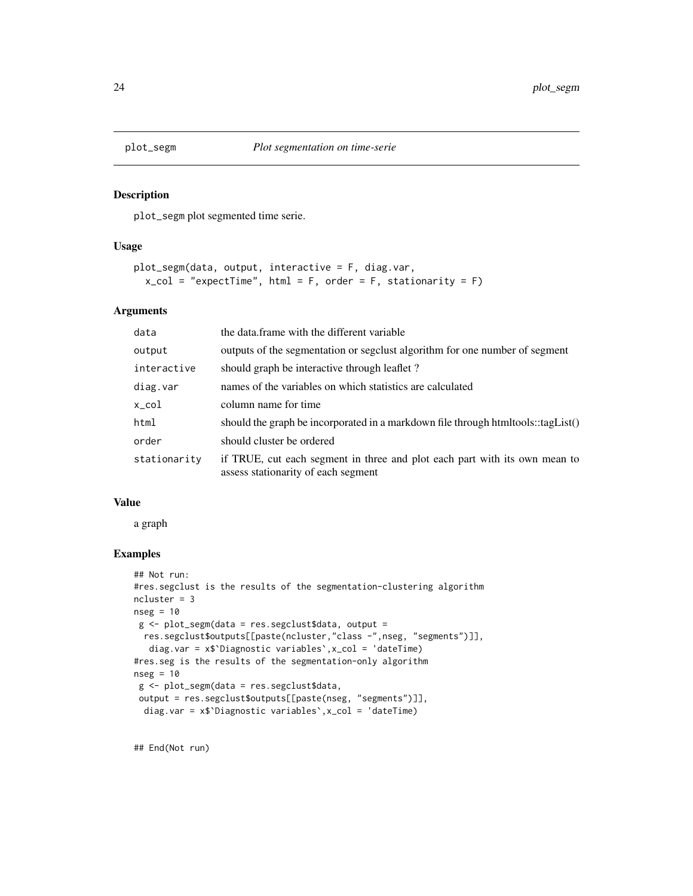<span id="page-23-1"></span><span id="page-23-0"></span>

plot\_segm plot segmented time serie.

#### Usage

```
plot_segm(data, output, interactive = F, diag.var,
  x_{col} = "expectTime", html = F, order = F, stationarity = F)
```
### Arguments

| data         | the data frame with the different variable                                                                        |
|--------------|-------------------------------------------------------------------------------------------------------------------|
| output       | outputs of the segmentation or segclust algorithm for one number of segment                                       |
| interactive  | should graph be interactive through leaflet?                                                                      |
| diag.var     | names of the variables on which statistics are calculated                                                         |
| x_col        | column name for time                                                                                              |
| html         | should the graph be incorporated in a markdown file through htmltools::tagList()                                  |
| order        | should cluster be ordered                                                                                         |
| stationarity | if TRUE, cut each segment in three and plot each part with its own mean to<br>assess stationarity of each segment |

#### Value

a graph

### Examples

```
## Not run:
#res.segclust is the results of the segmentation-clustering algorithm
ncluster = 3
nseg = 10g <- plot_segm(data = res.segclust$data, output =
 res.segclust$outputs[[paste(ncluster,"class -",nseg, "segments")]],
  diag.var = x$`Diagnostic variables`,x_col = 'dateTime)
#res.seg is the results of the segmentation-only algorithm
nseg = 10
 g <- plot_segm(data = res.segclust$data,
 output = res.segclust$outputs[[paste(nseg, "segments")]],
 diag.var = x$`Diagnostic variables`,x_col = 'dateTime)
```
## End(Not run)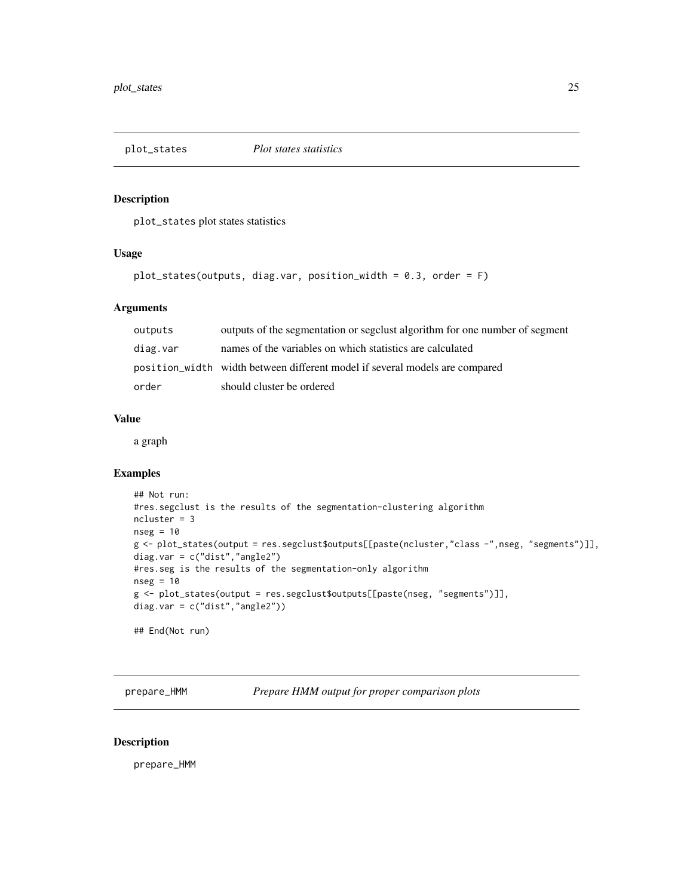<span id="page-24-0"></span>

plot\_states plot states statistics

#### Usage

```
plot_states(outputs, diag.var, position_width = 0.3, order = F)
```
#### Arguments

| outputs  | outputs of the segmentation or segclust algorithm for one number of segment |
|----------|-----------------------------------------------------------------------------|
| diag.var | names of the variables on which statistics are calculated                   |
|          | position width width between different model if several models are compared |
| order    | should cluster be ordered                                                   |

#### Value

a graph

### Examples

```
## Not run:
#res.segclust is the results of the segmentation-clustering algorithm
ncluster = 3
nseg = 10g <- plot_states(output = res.segclust$outputs[[paste(ncluster,"class -",nseg, "segments")]],
diag.var = c("dist","angle2")
#res.seg is the results of the segmentation-only algorithm
nseg = 10g <- plot_states(output = res.segclust$outputs[[paste(nseg, "segments")]],
diag.var = c("dist", "angle2")## End(Not run)
```
prepare\_HMM *Prepare HMM output for proper comparison plots*

#### Description

prepare\_HMM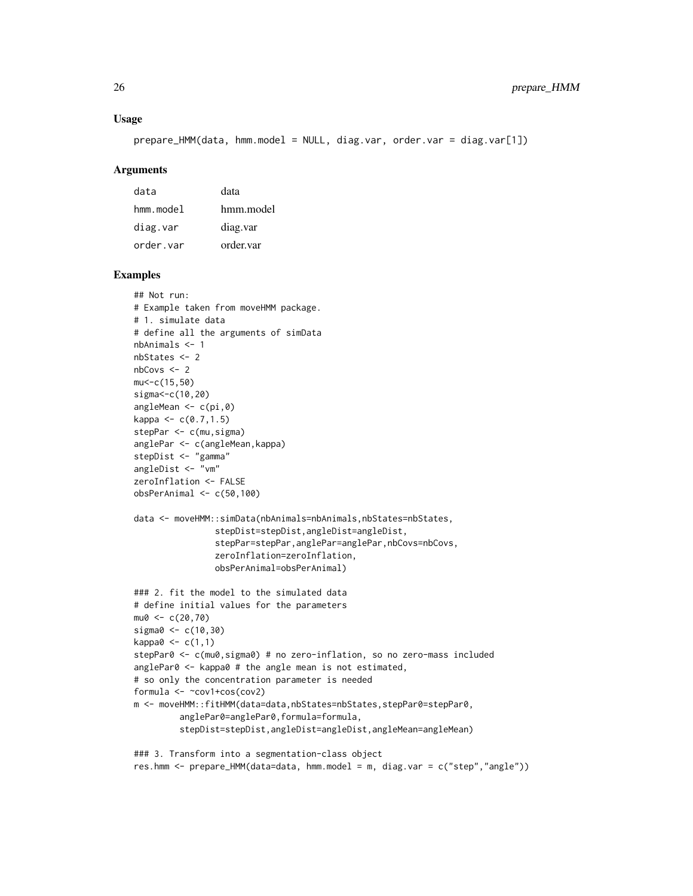#### Usage

```
prepare_HMM(data, hmm.model = NULL, diag.var, order.var = diag.var[1])
```
#### Arguments

| data            | data      |
|-----------------|-----------|
| $hmm$ . $model$ | hmm.model |
| diag.var        | diag.var  |
| order.var       | order.var |

#### Examples

```
## Not run:
# Example taken from moveHMM package.
# 1. simulate data
# define all the arguments of simData
nbAnimals <- 1
nbStates <- 2
nbCovs <- 2
mu<-c(15,50)
sigma<-c(10,20)
angleMean <- c(pi,0)
kappa < c(0.7, 1.5)stepPar <- c(mu,sigma)
anglePar <- c(angleMean,kappa)
stepDist <- "gamma"
angleDist <- "vm"
zeroInflation <- FALSE
obsPerAnimal <- c(50,100)
data <- moveHMM::simData(nbAnimals=nbAnimals,nbStates=nbStates,
                stepDist=stepDist,angleDist=angleDist,
                stepPar=stepPar,anglePar=anglePar,nbCovs=nbCovs,
                zeroInflation=zeroInflation,
                obsPerAnimal=obsPerAnimal)
### 2. fit the model to the simulated data
# define initial values for the parameters
mu0 < -c(20, 70)sigma0 <- c(10,30)
kappa0 \leq c(1,1)stepPar0 <- c(mu0,sigma0) # no zero-inflation, so no zero-mass included
anglePar0 <- kappa0 # the angle mean is not estimated,
# so only the concentration parameter is needed
formula <- ~cov1+cos(cov2)
m <- moveHMM::fitHMM(data=data,nbStates=nbStates,stepPar0=stepPar0,
         anglePar0=anglePar0,formula=formula,
         stepDist=stepDist,angleDist=angleDist,angleMean=angleMean)
### 3. Transform into a segmentation-class object
```
res.hmm <- prepare\_HMM(data=data, hmm.model = m, diag.var = c("step","angle"))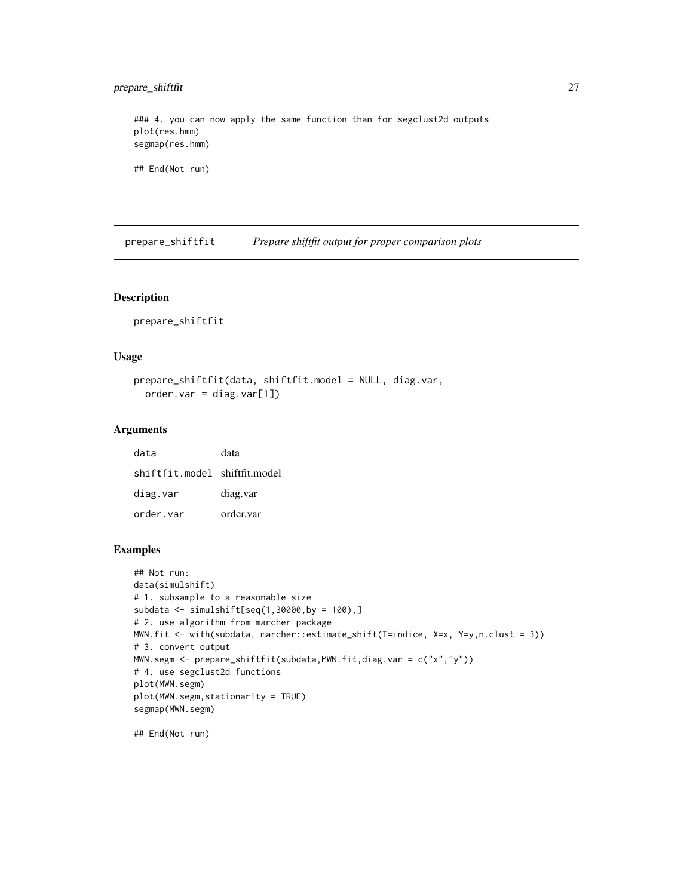### <span id="page-26-0"></span>prepare\_shiftfit 27

### 4. you can now apply the same function than for segclust2d outputs plot(res.hmm) segmap(res.hmm)

## End(Not run)

prepare\_shiftfit *Prepare shiftfit output for proper comparison plots*

#### Description

prepare\_shiftfit

### Usage

```
prepare_shiftfit(data, shiftfit.model = NULL, diag.var,
 order.var = diag.var[1])
```
#### Arguments

| data                          | data      |
|-------------------------------|-----------|
| shiftfit.model shiftfit.model |           |
| diag.var                      | diag.var  |
| order.var                     | order.var |

#### Examples

```
## Not run:
data(simulshift)
# 1. subsample to a reasonable size
subdata <- simulshift[seq(1,30000,by = 100),]
# 2. use algorithm from marcher package
MWN.fit <- with(subdata, marcher::estimate_shift(T=indice, X=x, Y=y,n.clust = 3))
# 3. convert output
MWN.segm <- prepare_shiftfit(subdata,MWN.fit,diag.var = c("x","y"))
# 4. use segclust2d functions
plot(MWN.segm)
plot(MWN.segm,stationarity = TRUE)
segmap(MWN.segm)
```
## End(Not run)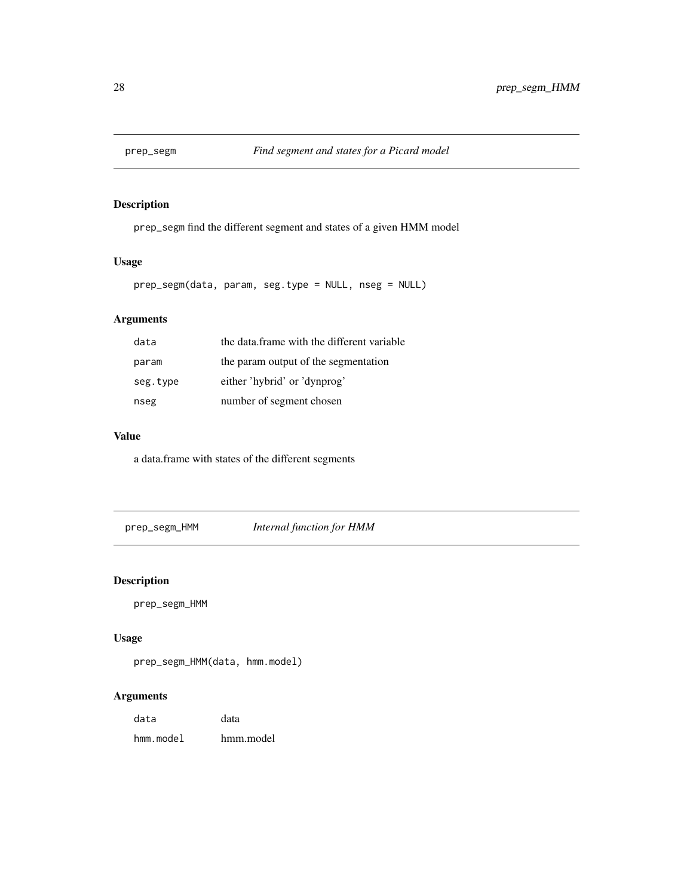<span id="page-27-0"></span>

prep\_segm find the different segment and states of a given HMM model

### Usage

prep\_segm(data, param, seg.type = NULL, nseg = NULL)

### Arguments

| data     | the data frame with the different variable |
|----------|--------------------------------------------|
| param    | the param output of the segmentation       |
| seg.type | either 'hybrid' or 'dynprog'               |
| nseg     | number of segment chosen                   |

### Value

a data.frame with states of the different segments

prep\_segm\_HMM *Internal function for HMM*

### Description

prep\_segm\_HMM

### Usage

```
prep_segm_HMM(data, hmm.model)
```
### Arguments

| data      | data      |
|-----------|-----------|
| hmm.model | hmm.model |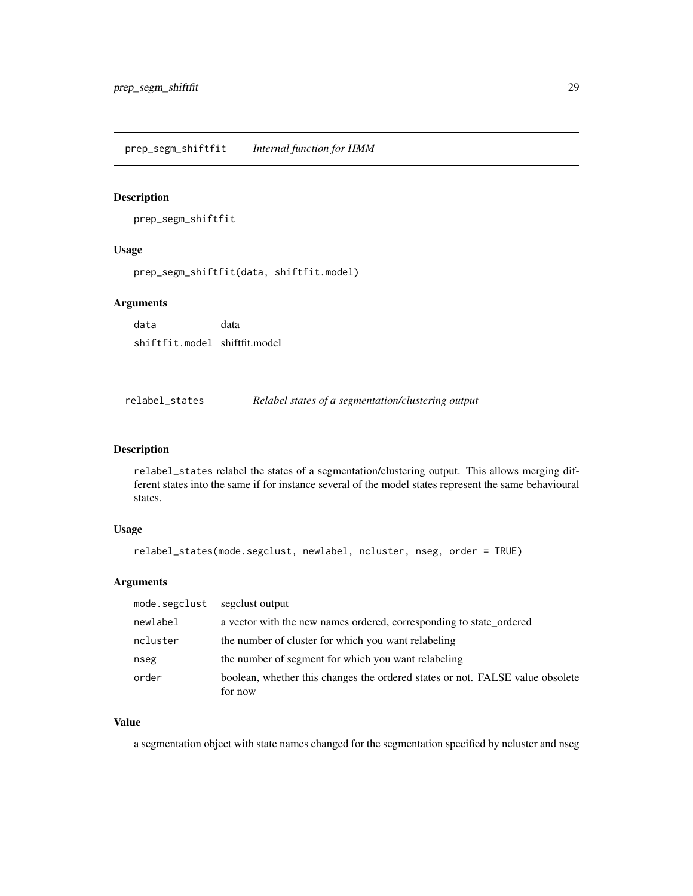<span id="page-28-0"></span>prep\_segm\_shiftfit *Internal function for HMM*

#### Description

prep\_segm\_shiftfit

### Usage

prep\_segm\_shiftfit(data, shiftfit.model)

#### Arguments

data data shiftfit.model shiftfit.model

relabel\_states *Relabel states of a segmentation/clustering output*

#### Description

relabel\_states relabel the states of a segmentation/clustering output. This allows merging different states into the same if for instance several of the model states represent the same behavioural states.

### Usage

```
relabel_states(mode.segclust, newlabel, ncluster, nseg, order = TRUE)
```
#### Arguments

| mode.segclust | segglust output                                                               |
|---------------|-------------------------------------------------------------------------------|
| newlabel      | a vector with the new names ordered, corresponding to state_ordered           |
| ncluster      | the number of cluster for which you want relabeling                           |
| nseg          | the number of segment for which you want relabeling                           |
| order         | boolean, whether this changes the ordered states or not. FALSE value obsolete |
|               | for now                                                                       |

### Value

a segmentation object with state names changed for the segmentation specified by ncluster and nseg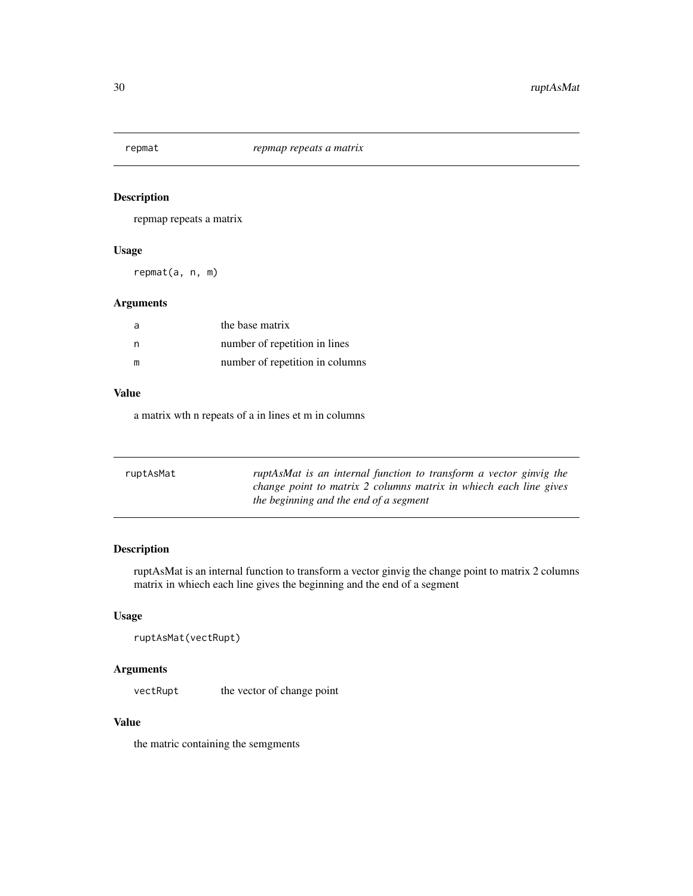<span id="page-29-0"></span>

repmap repeats a matrix

#### Usage

repmat(a, n, m)

### Arguments

| a | the base matrix                 |
|---|---------------------------------|
| n | number of repetition in lines   |
| m | number of repetition in columns |

### Value

a matrix wth n repeats of a in lines et m in columns

| ruptAsMat | ruptAsMat is an internal function to transform a vector ginvig the |
|-----------|--------------------------------------------------------------------|
|           | change point to matrix 2 columns matrix in whiech each line gives  |
|           | the beginning and the end of a segment                             |

### Description

ruptAsMat is an internal function to transform a vector ginvig the change point to matrix 2 columns matrix in whiech each line gives the beginning and the end of a segment

### Usage

```
ruptAsMat(vectRupt)
```
### Arguments

vectRupt the vector of change point

### Value

the matric containing the semgments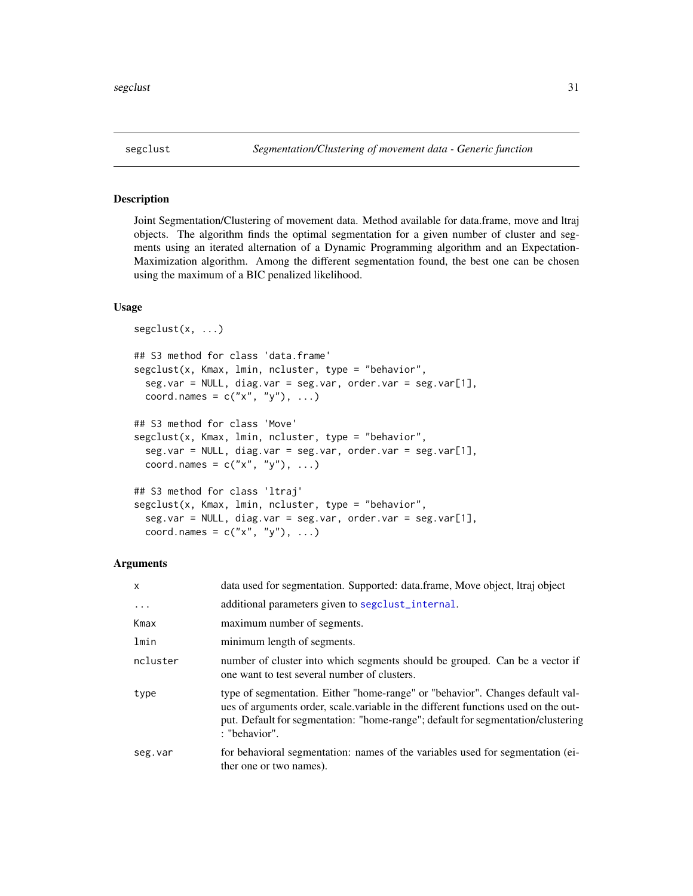<span id="page-30-0"></span>Joint Segmentation/Clustering of movement data. Method available for data.frame, move and ltraj objects. The algorithm finds the optimal segmentation for a given number of cluster and segments using an iterated alternation of a Dynamic Programming algorithm and an Expectation-Maximization algorithm. Among the different segmentation found, the best one can be chosen using the maximum of a BIC penalized likelihood.

#### Usage

```
segclust(x, ...)
## S3 method for class 'data.frame'
segclust(x, Kmax, lmin, ncluster, type = "behavior",
  seg.var = NULL, diag.var = seg.var, order.var = seg.var[1],
  coord.names = c("x", "y"), ...)
## S3 method for class 'Move'
segclust(x, Kmax, lmin, ncluster, type = "behavior",
  seg.var = NULL, diag.var = seg.var, order.var = seg.var[1],
  coord.names = c("x", "y"), ...)
## S3 method for class 'ltraj'
segclust(x, Kmax, lmin, ncluster, type = "behavior",
  seg.var = NULL, diag.var = seg.var, order.var = seg.var[1],
  coord.names = c("x", "y"), ...
```
#### Arguments

| $\mathsf{x}$ | data used for segmentation. Supported: data.frame, Move object, Itraj object                                                                                                                                                                                             |
|--------------|--------------------------------------------------------------------------------------------------------------------------------------------------------------------------------------------------------------------------------------------------------------------------|
| $\cdot$      | additional parameters given to segular internal.                                                                                                                                                                                                                         |
| Kmax         | maximum number of segments.                                                                                                                                                                                                                                              |
| lmin         | minimum length of segments.                                                                                                                                                                                                                                              |
| ncluster     | number of cluster into which segments should be grouped. Can be a vector if<br>one want to test several number of clusters.                                                                                                                                              |
| type         | type of segmentation. Either "home-range" or "behavior". Changes default val-<br>ues of arguments order, scale variable in the different functions used on the out-<br>put. Default for segmentation: "home-range"; default for segmentation/clustering<br>: "behavior". |
| seg.var      | for behavioral segmentation: names of the variables used for segmentation (ei-<br>ther one or two names).                                                                                                                                                                |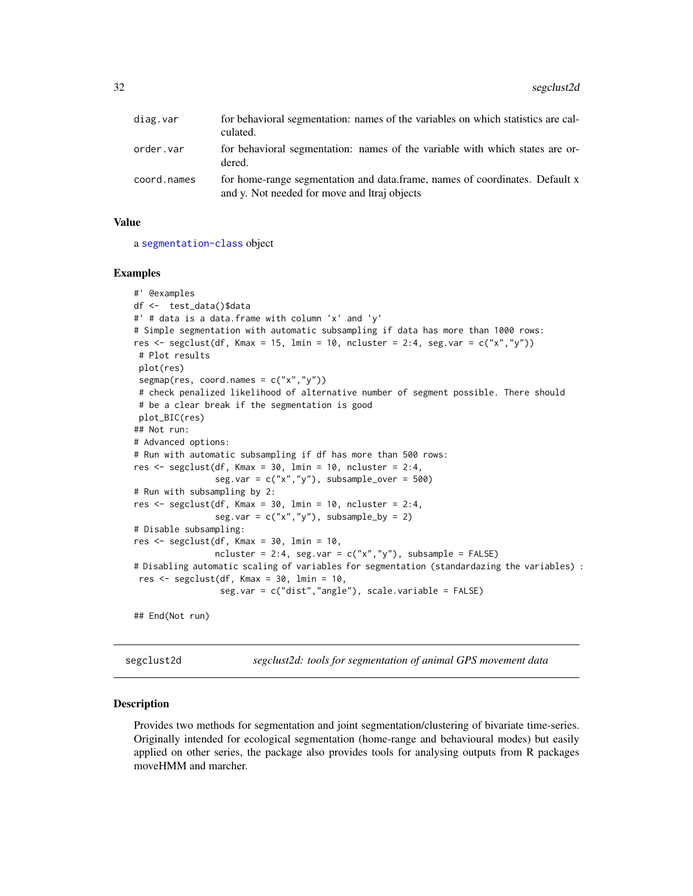<span id="page-31-0"></span>

| diag.var    | for behavioral segmentation: names of the variables on which statistics are cal-<br>culated.                                |
|-------------|-----------------------------------------------------------------------------------------------------------------------------|
| order.var   | for behavioral segmentation: names of the variable with which states are or-<br>dered.                                      |
| coord.names | for home-range segmentation and data.frame, names of coordinates. Default x<br>and y. Not needed for move and Itraj objects |

#### Value

a [segmentation-class](#page-35-1) object

#### Examples

```
#' @examples
df <- test_data()$data
#' # data is a data.frame with column 'x' and 'y'
# Simple segmentation with automatic subsampling if data has more than 1000 rows:
res \leq segclust(df, Kmax = 15, lmin = 10, ncluster = 2:4, seg.var = c("x","y"))
# Plot results
plot(res)
segmap(res, coord.names = c("x","y"))
# check penalized likelihood of alternative number of segment possible. There should
# be a clear break if the segmentation is good
plot_BIC(res)
## Not run:
# Advanced options:
# Run with automatic subsampling if df has more than 500 rows:
res <- segclust(df, Kmax = 30, lmin = 10, ncluster = 2:4,
                seg.var = c("x", "y"), subsample_over = 500)
# Run with subsampling by 2:
res \le segclust(df, Kmax = 30, lmin = 10, ncluster = 2:4,
                seg.var = c("x", "y"), subsample_by = 2)
# Disable subsampling:
res <- segclust(df, Kmax = 30, lmin = 10,
                ncluster = 2:4, seg.var = c("x", "y"), subsample = FALSE)
# Disabling automatic scaling of variables for segmentation (standardazing the variables) :
res <- segclust(df, Kmax = 30, lmin = 10,
                 seg.var = c("dist","angle"), scale.variable = FALSE)
## End(Not run)
```
segclust2d *segclust2d: tools for segmentation of animal GPS movement data*

#### Description

Provides two methods for segmentation and joint segmentation/clustering of bivariate time-series. Originally intended for ecological segmentation (home-range and behavioural modes) but easily applied on other series, the package also provides tools for analysing outputs from R packages moveHMM and marcher.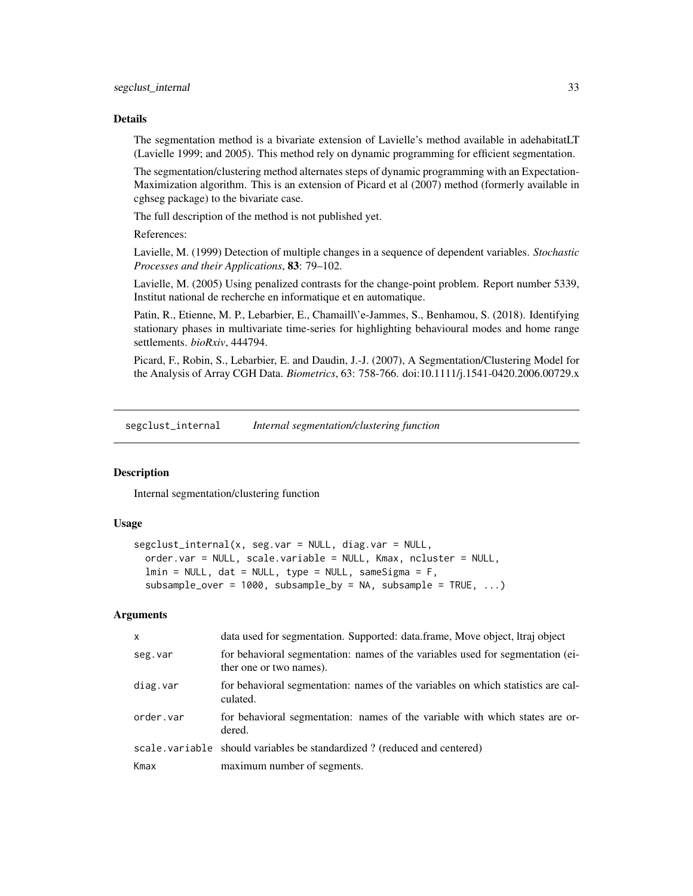#### <span id="page-32-0"></span>Details

The segmentation method is a bivariate extension of Lavielle's method available in adehabitatLT (Lavielle 1999; and 2005). This method rely on dynamic programming for efficient segmentation.

The segmentation/clustering method alternates steps of dynamic programming with an Expectation-Maximization algorithm. This is an extension of Picard et al (2007) method (formerly available in cghseg package) to the bivariate case.

The full description of the method is not published yet.

References:

Lavielle, M. (1999) Detection of multiple changes in a sequence of dependent variables. *Stochastic Processes and their Applications*, 83: 79–102.

Lavielle, M. (2005) Using penalized contrasts for the change-point problem. Report number 5339, Institut national de recherche en informatique et en automatique.

Patin, R., Etienne, M. P., Lebarbier, E., Chamaill\'e-Jammes, S., Benhamou, S. (2018). Identifying stationary phases in multivariate time-series for highlighting behavioural modes and home range settlements. *bioRxiv*, 444794.

Picard, F., Robin, S., Lebarbier, E. and Daudin, J.-J. (2007), A Segmentation/Clustering Model for the Analysis of Array CGH Data. *Biometrics*, 63: 758-766. doi:10.1111/j.1541-0420.2006.00729.x

<span id="page-32-1"></span>segclust\_internal *Internal segmentation/clustering function*

### **Description**

Internal segmentation/clustering function

#### Usage

```
segclust_internal(x, seg.var = NULL, diag.var = NULL,
  order.var = NULL, scale.variable = NULL, Kmax, ncluster = NULL,
  lmin = NULL, dat = NULL, type = NULL, sameSigma = F,subsample\_over = 1000, subsample\_by = NA, subsample = TRUE, ...)
```
#### Arguments

| X         | data used for segmentation. Supported: data.frame, Move object, Itraj object                              |
|-----------|-----------------------------------------------------------------------------------------------------------|
| seg.var   | for behavioral segmentation: names of the variables used for segmentation (ei-<br>ther one or two names). |
| diag.var  | for behavioral segmentation: names of the variables on which statistics are cal-<br>culated.              |
| order.var | for behavioral segmentation: names of the variable with which states are or-<br>dered.                    |
|           | scale variable should variables be standardized? (reduced and centered)                                   |
| Kmax      | maximum number of segments.                                                                               |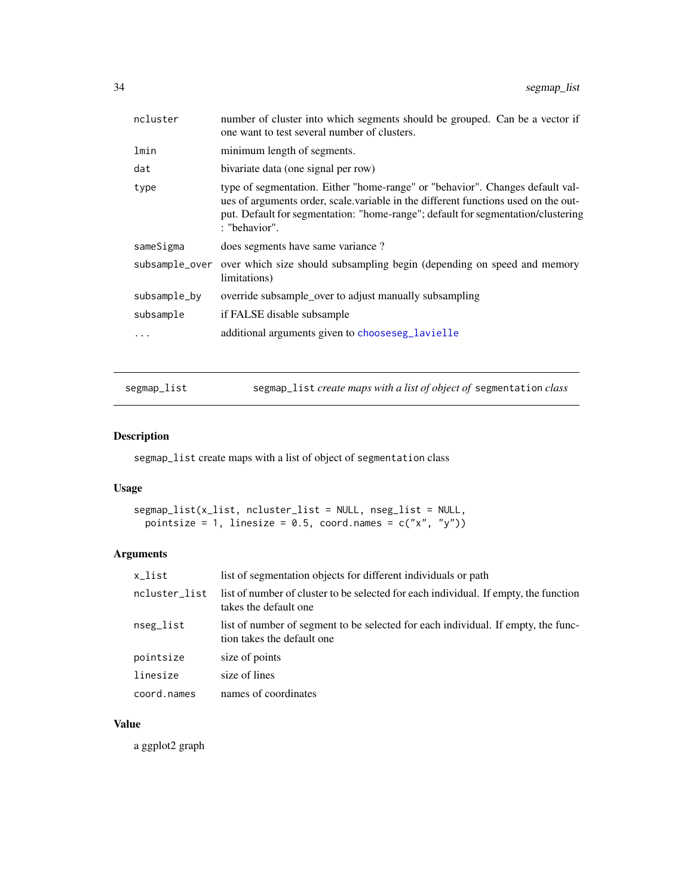<span id="page-33-0"></span>

| ncluster       | number of cluster into which segments should be grouped. Can be a vector if<br>one want to test several number of clusters.                                                                                                                                              |
|----------------|--------------------------------------------------------------------------------------------------------------------------------------------------------------------------------------------------------------------------------------------------------------------------|
| lmin           | minimum length of segments.                                                                                                                                                                                                                                              |
| dat            | bivariate data (one signal per row)                                                                                                                                                                                                                                      |
| type           | type of segmentation. Either "home-range" or "behavior". Changes default val-<br>ues of arguments order, scale variable in the different functions used on the out-<br>put. Default for segmentation: "home-range"; default for segmentation/clustering<br>: "behavior". |
| sameSigma      | does segments have same variance?                                                                                                                                                                                                                                        |
| subsample_over | over which size should subsampling begin (depending on speed and memory<br>limitations)                                                                                                                                                                                  |
| subsample_by   | override subsample_over to adjust manually subsampling                                                                                                                                                                                                                   |
| subsample      | if FALSE disable subsample                                                                                                                                                                                                                                               |
|                | additional arguments given to chooseseg_lavielle                                                                                                                                                                                                                         |
|                |                                                                                                                                                                                                                                                                          |

segmap\_list segmap\_list *create maps with a list of object of* segmentation *class*

### Description

segmap\_list create maps with a list of object of segmentation class

### Usage

```
segmap_list(x_list, ncluster_list = NULL, nseg_list = NULL,
 pointsize = 1, linesize = 0.5, coord.names = c("x", "y"))
```
### Arguments

| x_list        | list of segmentation objects for different individuals or path                                                  |
|---------------|-----------------------------------------------------------------------------------------------------------------|
| ncluster_list | list of number of cluster to be selected for each individual. If empty, the function<br>takes the default one   |
| nseg_list     | list of number of segment to be selected for each individual. If empty, the func-<br>tion takes the default one |
| pointsize     | size of points                                                                                                  |
| linesize      | size of lines                                                                                                   |
| coord.names   | names of coordinates                                                                                            |

### Value

a ggplot2 graph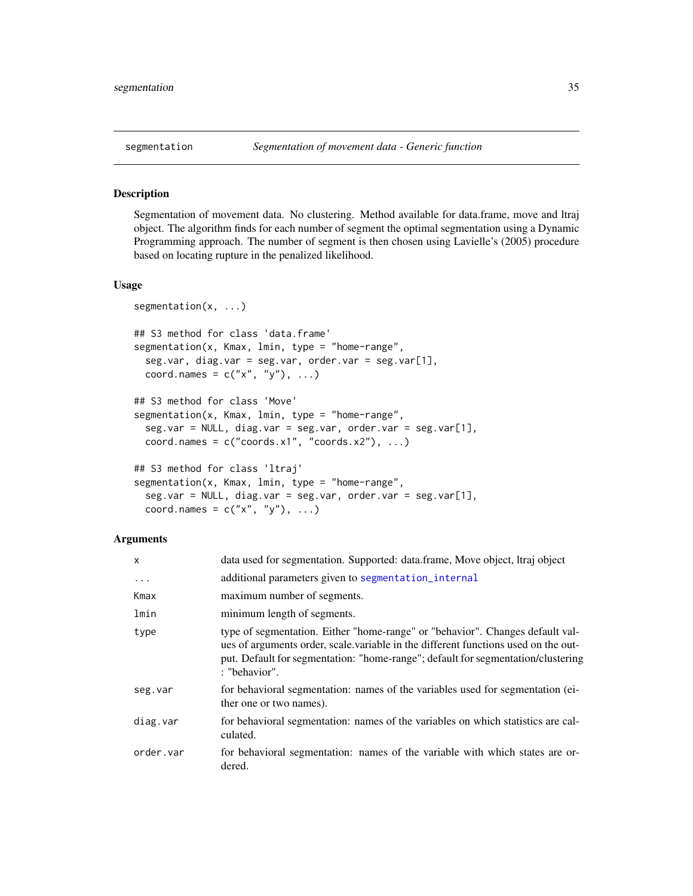<span id="page-34-1"></span><span id="page-34-0"></span>

Segmentation of movement data. No clustering. Method available for data.frame, move and ltraj object. The algorithm finds for each number of segment the optimal segmentation using a Dynamic Programming approach. The number of segment is then chosen using Lavielle's (2005) procedure based on locating rupture in the penalized likelihood.

#### Usage

```
segmentation(x, ...)
## S3 method for class 'data.frame'
segmentation(x, Kmax, lmin, type = "home-range",
  seg.var, diag.var = seg.var, order.var = seg.var[1],
  coord.names = c("x", "y"), ...)
## S3 method for class 'Move'
segmentation(x, Kmax, lmin, type = "home-range",
  seg.var = NULL, diag.var = seg.var, order.var = seg.var[1],
  coord.names = c("coordinates.x1", "coordinates.x2"), ...)## S3 method for class 'ltraj'
segmentation(x, Kmax, lmin, type = "home-range",
  seg.var = NULL, diag.var = seg.var, order.var = seg.var[1],
  coord.names = c("x", "y"), ...)
```
#### Arguments

| $\mathsf{x}$ | data used for segmentation. Supported: data.frame, Move object, Itraj object                                                                                                                                                                                             |
|--------------|--------------------------------------------------------------------------------------------------------------------------------------------------------------------------------------------------------------------------------------------------------------------------|
| .            | additional parameters given to segmentation_internal                                                                                                                                                                                                                     |
| Kmax         | maximum number of segments.                                                                                                                                                                                                                                              |
| lmin         | minimum length of segments.                                                                                                                                                                                                                                              |
| type         | type of segmentation. Either "home-range" or "behavior". Changes default val-<br>ues of arguments order, scale variable in the different functions used on the out-<br>put. Default for segmentation: "home-range"; default for segmentation/clustering<br>: "behavior". |
| seg.var      | for behavioral segmentation: names of the variables used for segmentation (ei-<br>ther one or two names).                                                                                                                                                                |
| diag.var     | for behavioral segmentation: names of the variables on which statistics are cal-<br>culated.                                                                                                                                                                             |
| order.var    | for behavioral segmentation: names of the variable with which states are or-<br>dered.                                                                                                                                                                                   |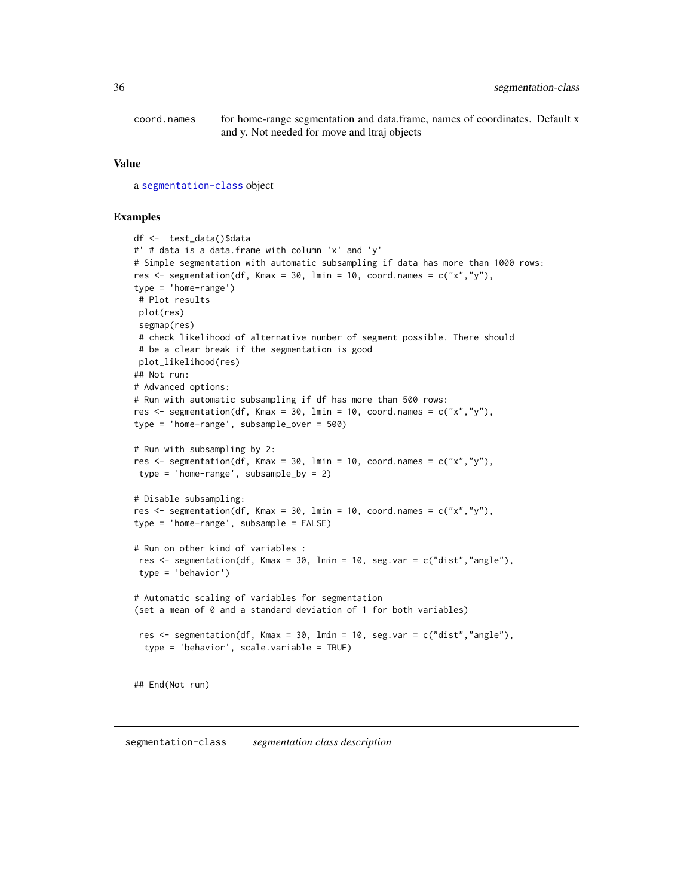<span id="page-35-0"></span>coord.names for home-range segmentation and data.frame, names of coordinates. Default x and y. Not needed for move and ltraj objects

#### Value

a [segmentation-class](#page-35-1) object

#### Examples

```
df <- test_data()$data
#' # data is a data.frame with column 'x' and 'y'
# Simple segmentation with automatic subsampling if data has more than 1000 rows:
res \leq segmentation(df, Kmax = 30, lmin = 10, coord.names = c("x", "y"),
type = 'home-range')
# Plot results
plot(res)
segmap(res)
# check likelihood of alternative number of segment possible. There should
# be a clear break if the segmentation is good
plot_likelihood(res)
## Not run:
# Advanced options:
# Run with automatic subsampling if df has more than 500 rows:
res \leq segmentation(df, Kmax = 30, lmin = 10, coord.names = c("x","y"),
type = 'home-range', subsample_over = 500)
# Run with subsampling by 2:
res \leq segmentation(df, Kmax = 30, lmin = 10, coord.names = c("x","y"),
type = 'home-range', subsample_by = 2)
# Disable subsampling:
res \leq segmentation(df, Kmax = 30, lmin = 10, coord.names = c("x","y"),
type = 'home-range', subsample = FALSE)
# Run on other kind of variables :
res \leq segmentation(df, Kmax = 30, lmin = 10, seg.var = c("dist","angle"),
 type = 'behavior')
# Automatic scaling of variables for segmentation
(set a mean of 0 and a standard deviation of 1 for both variables)
res <- segmentation(df, Kmax = 30, lmin = 10, seg.var = c("dist","angle"),
 type = 'behavior', scale.variable = TRUE)
## End(Not run)
```
<span id="page-35-2"></span><span id="page-35-1"></span>segmentation-class *segmentation class description*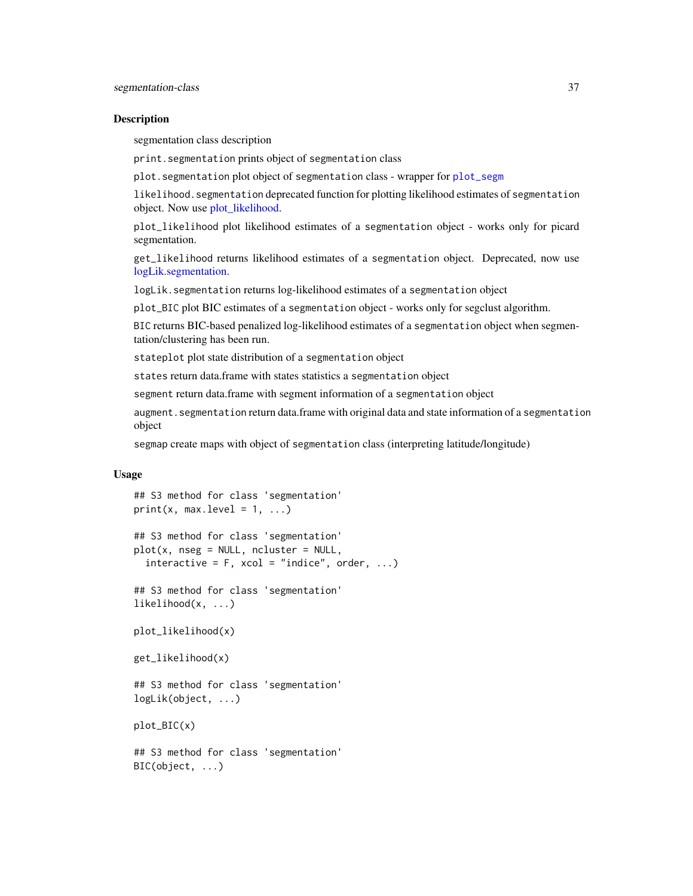<span id="page-36-0"></span>segmentation class description

print.segmentation prints object of segmentation class

plot.segmentation plot object of segmentation class - wrapper for [plot\\_segm](#page-23-1)

likelihood.segmentation deprecated function for plotting likelihood estimates of segmentation object. Now use [plot\\_likelihood.](#page-35-2)

plot\_likelihood plot likelihood estimates of a segmentation object - works only for picard segmentation.

get\_likelihood returns likelihood estimates of a segmentation object. Deprecated, now use [logLik.segmentation.](#page-35-2)

logLik.segmentation returns log-likelihood estimates of a segmentation object

plot\_BIC plot BIC estimates of a segmentation object - works only for segclust algorithm.

BIC returns BIC-based penalized log-likelihood estimates of a segmentation object when segmentation/clustering has been run.

stateplot plot state distribution of a segmentation object

states return data.frame with states statistics a segmentation object

segment return data.frame with segment information of a segmentation object

augment.segmentation return data.frame with original data and state information of a segmentation object

segmap create maps with object of segmentation class (interpreting latitude/longitude)

#### Usage

```
## S3 method for class 'segmentation'
print(x, max.level = 1, ...)
```

```
## S3 method for class 'segmentation'
plot(x, nseg = NULL, ncluster = NULL,interactive = F, xcol = "indice", order, ...)
```
## S3 method for class 'segmentation' likelihood(x, ...)

plot\_likelihood(x)

```
get_likelihood(x)
```

```
## S3 method for class 'segmentation'
logLik(object, ...)
```
plot\_BIC(x)

## S3 method for class 'segmentation' BIC(object, ...)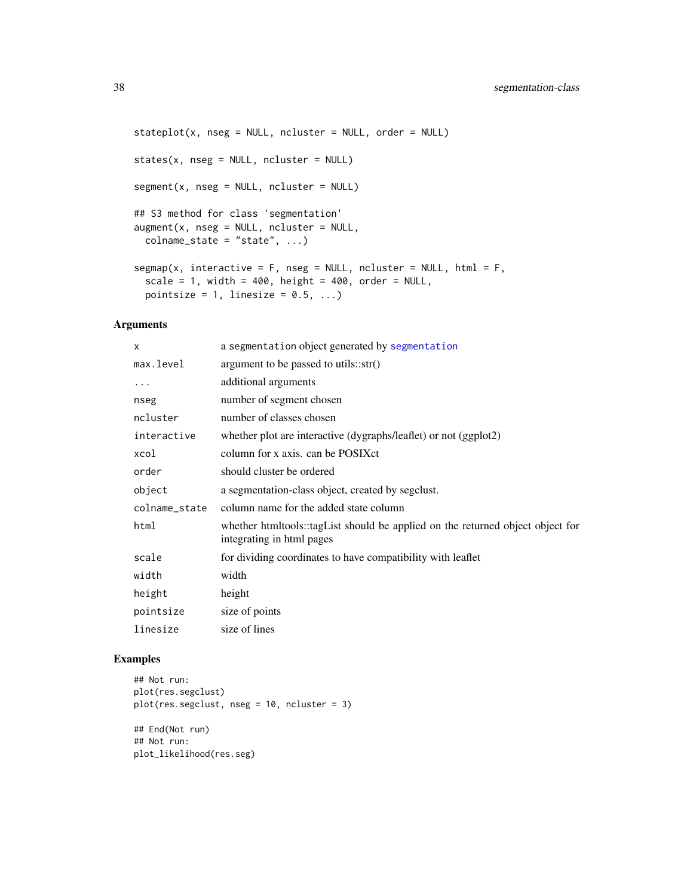```
stateplot(x, nseg = NULL, ncluster = NULL, order = NULL)
states(x, nseg = NULL, ncluster = NULL)
segment(x, nseg = NULL, ncluster = NULL)
## S3 method for class 'segmentation'
augment(x, nseg = NULL, ncluster = NULL,colname\_state = "state", ...segmap(x, interactive = F, nseg = NULL, ncluster = NULL, html = F,
  scale = 1, width = 400, height = 400, order = NULL,
 pointsize = 1, linesize = 0.5, ...)
```
### Arguments

| $\mathsf{x}$  | a segmentation object generated by segmentation                                                             |
|---------------|-------------------------------------------------------------------------------------------------------------|
| max.level     | argument to be passed to utils::str()                                                                       |
| .             | additional arguments                                                                                        |
| nseg          | number of segment chosen                                                                                    |
| ncluster      | number of classes chosen                                                                                    |
| interactive   | whether plot are interactive (dygraphs/leaflet) or not (ggplot2)                                            |
| xcol          | column for x axis. can be POSIXct                                                                           |
| order         | should cluster be ordered                                                                                   |
| object        | a segmentation-class object, created by segclust.                                                           |
| colname_state | column name for the added state column                                                                      |
| html          | whether htmltools::tagList should be applied on the returned object object for<br>integrating in html pages |
| scale         | for dividing coordinates to have compatibility with leaflet                                                 |
| width         | width                                                                                                       |
| height        | height                                                                                                      |
| pointsize     | size of points                                                                                              |
| linesize      | size of lines                                                                                               |

### Examples

```
## Not run:
plot(res.segclust)
plot(res.segclust, nseg = 10, ncluster = 3)
## End(Not run)
## Not run:
plot_likelihood(res.seg)
```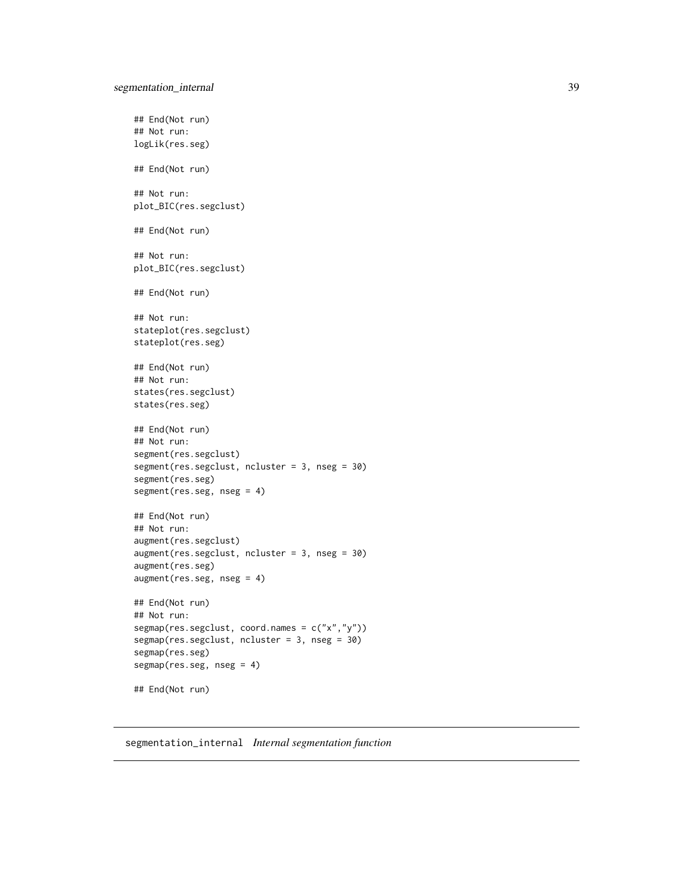```
## End(Not run)
## Not run:
logLik(res.seg)
## End(Not run)
## Not run:
plot_BIC(res.segclust)
## End(Not run)
## Not run:
plot_BIC(res.segclust)
## End(Not run)
## Not run:
stateplot(res.segclust)
stateplot(res.seg)
## End(Not run)
## Not run:
states(res.segclust)
states(res.seg)
## End(Not run)
## Not run:
segment(res.segclust)
segment(res.segclust, ncluster = 3, nseg = 30)
segment(res.seg)
segment(res.seg, nseg = 4)
## End(Not run)
## Not run:
augment(res.segclust)
augment(res.segclust, ncluster = 3, nseg = 30)
augment(res.seg)
augment(res.seg, nseg = 4)
## End(Not run)
## Not run:
segmap(res.segclust, coord.names = c("x","y"))
segmap(res.segclust, ncluster = 3, nseg = 30)
segmap(res.seg)
segmap(res.seg, nseg = 4)
## End(Not run)
```
<span id="page-38-1"></span>segmentation\_internal *Internal segmentation function*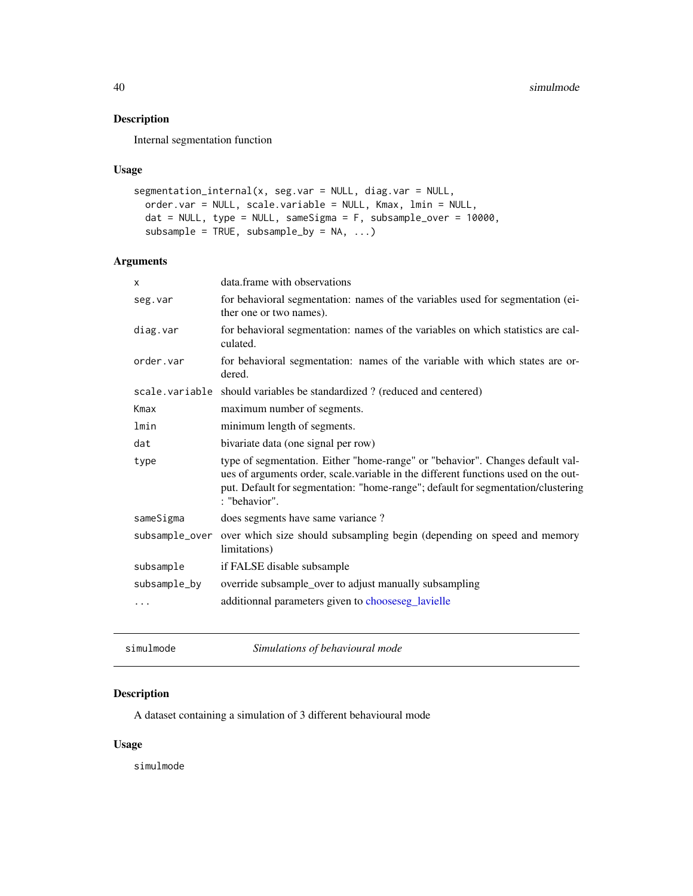<span id="page-39-0"></span>Internal segmentation function

#### Usage

```
segmentation_internal(x, seg.var = NULL, diag.var = NULL,
 order.var = NULL, scale.variable = NULL, Kmax, lmin = NULL,
 dat = NULL, type = NULL, sameSigma = F, subsample_over = 10000,
 subsample = TRUE, subsample_by = NA, ...)
```
### Arguments

| X              | data.frame with observations                                                                                                                                                                                                                                             |
|----------------|--------------------------------------------------------------------------------------------------------------------------------------------------------------------------------------------------------------------------------------------------------------------------|
| seg.var        | for behavioral segmentation: names of the variables used for segmentation (ei-<br>ther one or two names).                                                                                                                                                                |
| diag.var       | for behavioral segmentation: names of the variables on which statistics are cal-<br>culated.                                                                                                                                                                             |
| order.var      | for behavioral segmentation: names of the variable with which states are or-<br>dered.                                                                                                                                                                                   |
|                | scale.variable should variables be standardized? (reduced and centered)                                                                                                                                                                                                  |
| Kmax           | maximum number of segments.                                                                                                                                                                                                                                              |
| lmin           | minimum length of segments.                                                                                                                                                                                                                                              |
| dat            | bivariate data (one signal per row)                                                                                                                                                                                                                                      |
| type           | type of segmentation. Either "home-range" or "behavior". Changes default val-<br>ues of arguments order, scale variable in the different functions used on the out-<br>put. Default for segmentation: "home-range"; default for segmentation/clustering<br>: "behavior". |
| sameSigma      | does segments have same variance?                                                                                                                                                                                                                                        |
| subsample_over | over which size should subsampling begin (depending on speed and memory<br>limitations)                                                                                                                                                                                  |
| subsample      | if FALSE disable subsample                                                                                                                                                                                                                                               |
| subsample_by   | override subsample_over to adjust manually subsampling                                                                                                                                                                                                                   |
| $\cdots$       | additionnal parameters given to chooseseg_lavielle                                                                                                                                                                                                                       |
|                |                                                                                                                                                                                                                                                                          |

simulmode *Simulations of behavioural mode*

### Description

A dataset containing a simulation of 3 different behavioural mode

#### Usage

simulmode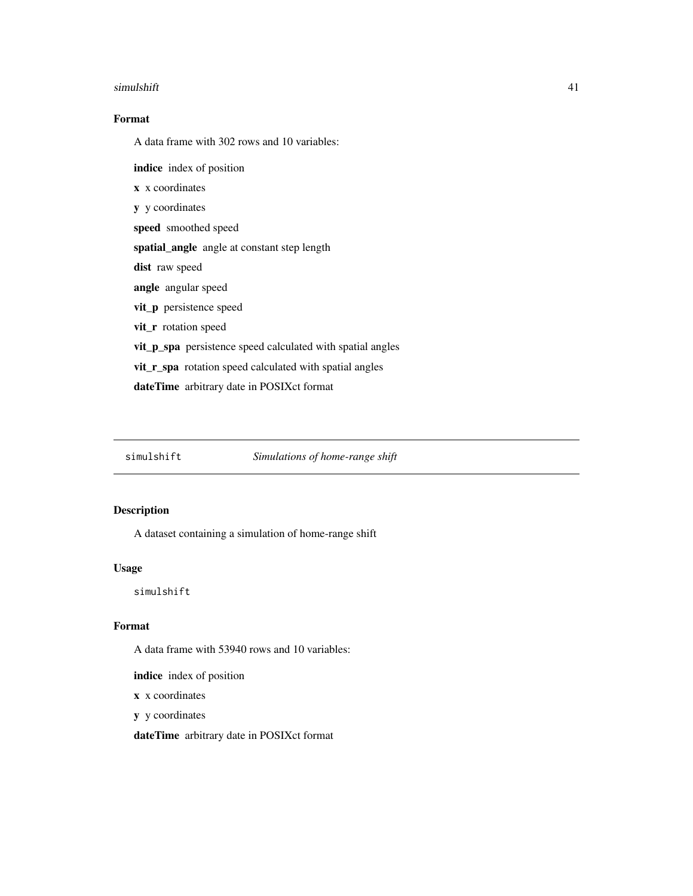#### <span id="page-40-0"></span>simulshift 41

### Format

A data frame with 302 rows and 10 variables:

indice index of position

x x coordinates

y y coordinates

speed smoothed speed

spatial\_angle angle at constant step length

dist raw speed

angle angular speed

vit\_p persistence speed

vit\_r rotation speed

vit\_p\_spa persistence speed calculated with spatial angles

vit\_r\_spa rotation speed calculated with spatial angles

dateTime arbitrary date in POSIXct format

simulshift *Simulations of home-range shift*

### Description

A dataset containing a simulation of home-range shift

#### Usage

simulshift

#### Format

A data frame with 53940 rows and 10 variables:

indice index of position

x x coordinates

y y coordinates

dateTime arbitrary date in POSIXct format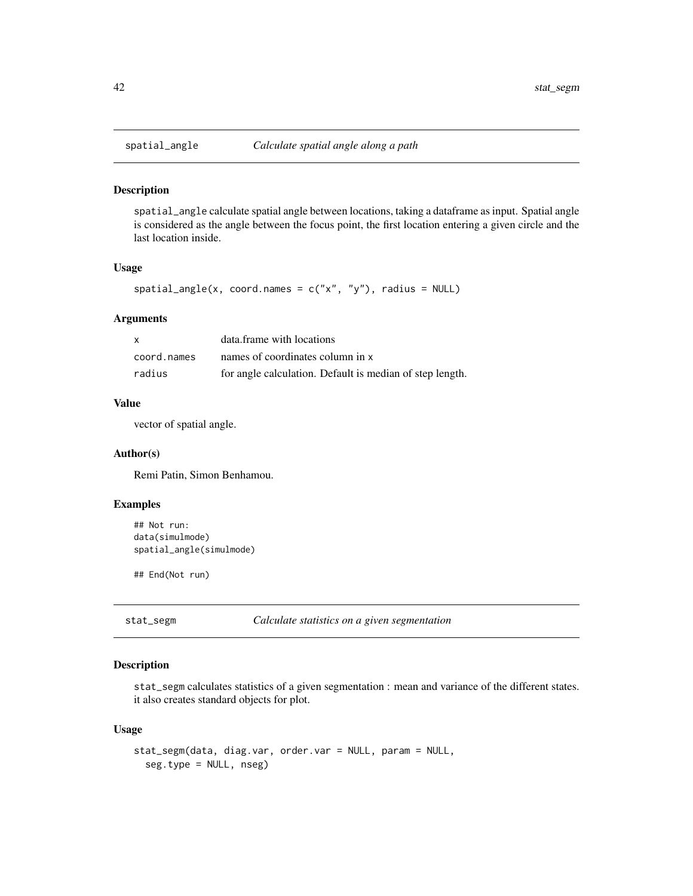<span id="page-41-0"></span>

spatial\_angle calculate spatial angle between locations, taking a dataframe as input. Spatial angle is considered as the angle between the focus point, the first location entering a given circle and the last location inside.

#### Usage

```
spatial\_angle(x, coord.name = c("x", "y"), radius = NULL)
```
#### Arguments

| $\mathsf{x}$ | data.frame with locations                                |
|--------------|----------------------------------------------------------|
| coord.names  | names of coordinates column in x                         |
| radius       | for angle calculation. Default is median of step length. |

#### Value

vector of spatial angle.

### Author(s)

Remi Patin, Simon Benhamou.

### Examples

```
## Not run:
data(simulmode)
spatial_angle(simulmode)
```
## End(Not run)

stat\_segm *Calculate statistics on a given segmentation*

#### Description

stat\_segm calculates statistics of a given segmentation : mean and variance of the different states. it also creates standard objects for plot.

#### Usage

```
stat_segm(data, diag.var, order.var = NULL, param = NULL,
  seg.type = NULL, nseg)
```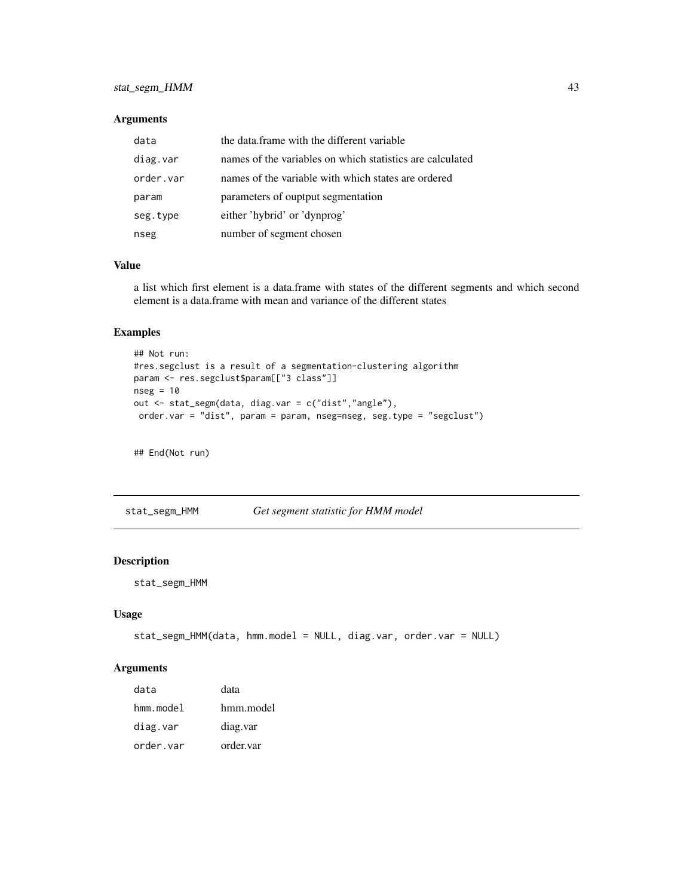### <span id="page-42-0"></span>stat\_segm\_HMM 43

#### Arguments

| data      | the data.frame with the different variable                |
|-----------|-----------------------------------------------------------|
| diag.var  | names of the variables on which statistics are calculated |
| order.var | names of the variable with which states are ordered       |
| param     | parameters of ouptput segmentation                        |
| seg.type  | either 'hybrid' or 'dynprog'                              |
| nseg      | number of segment chosen                                  |

#### Value

a list which first element is a data.frame with states of the different segments and which second element is a data.frame with mean and variance of the different states

### Examples

```
## Not run:
#res.segclust is a result of a segmentation-clustering algorithm
param <- res.segclust$param[["3 class"]]
nseg = 10out <- stat_segm(data, diag.var = c("dist","angle"),
order.var = "dist", param = param, nseg=nseg, seg.type = "segclust")
```
## End(Not run)

stat\_segm\_HMM *Get segment statistic for HMM model*

#### Description

stat\_segm\_HMM

#### Usage

```
stat_segm_HMM(data, hmm.model = NULL, diag.var, order.var = NULL)
```
#### Arguments

| data      | data      |
|-----------|-----------|
| hmm.model | hmm.model |
| diag.var  | diag.var  |
| order.var | order.var |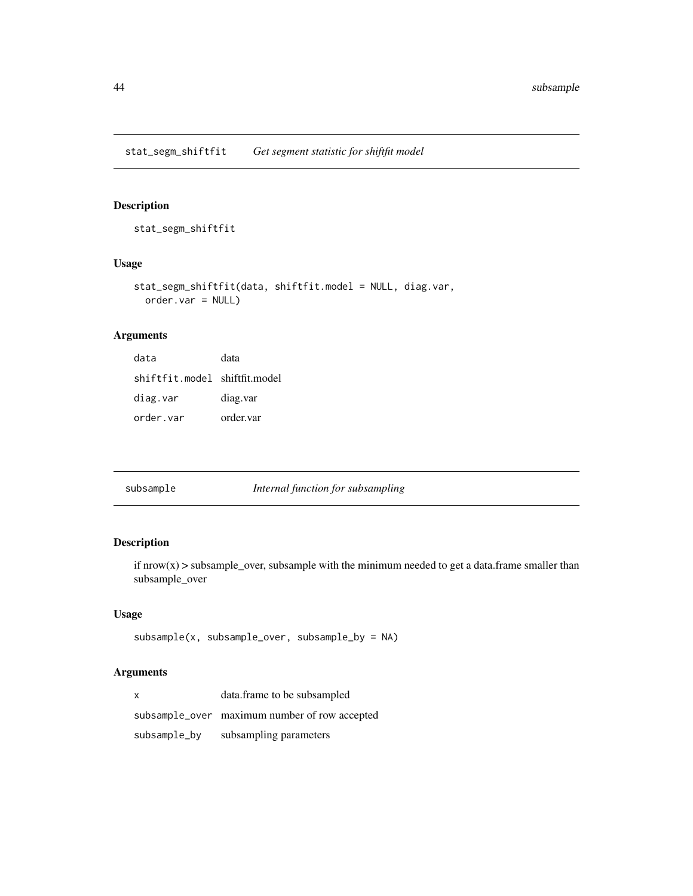<span id="page-43-0"></span>stat\_segm\_shiftfit

### Usage

```
stat_segm_shiftfit(data, shiftfit.model = NULL, diag.var,
 order.var = NULL)
```
### Arguments

| data                          | data      |
|-------------------------------|-----------|
| shiftfit.model shiftfit.model |           |
| diag.var                      | diag.var  |
| order.var                     | order.var |

| subsample | Internal function for subsampling |
|-----------|-----------------------------------|
|-----------|-----------------------------------|

### Description

if  $nrow(x)$  > subsample\_over, subsample with the minimum needed to get a data.frame smaller than subsample\_over

#### Usage

```
subsample(x, subsample_over, subsample_by = NA)
```
### Arguments

| x            | data.frame to be subsampled                   |
|--------------|-----------------------------------------------|
|              | subsample_over maximum number of row accepted |
| subsample_by | subsampling parameters                        |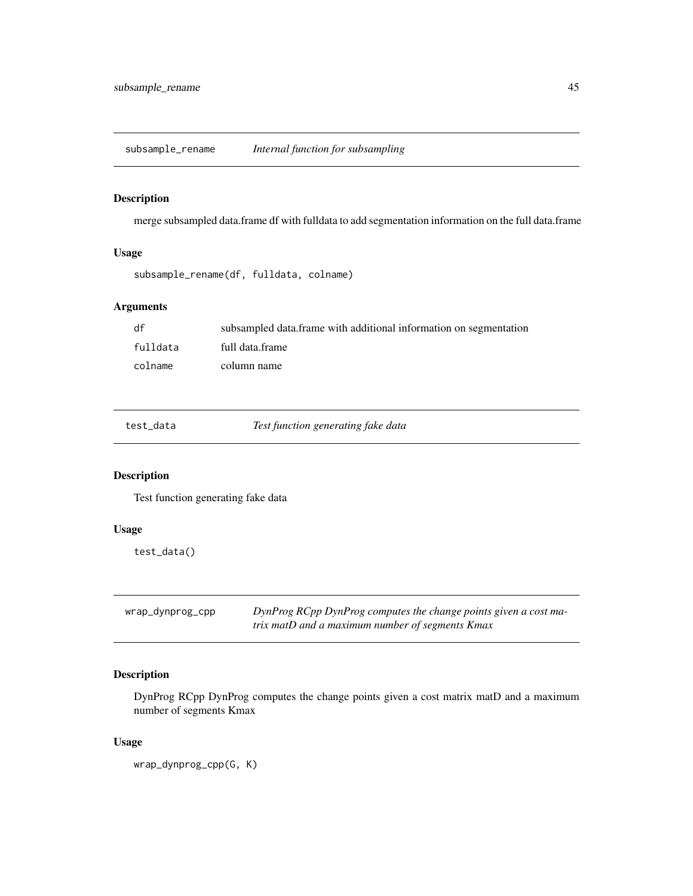<span id="page-44-0"></span>subsample\_rename *Internal function for subsampling*

### Description

merge subsampled data.frame df with fulldata to add segmentation information on the full data.frame

#### Usage

```
subsample_rename(df, fulldata, colname)
```
### Arguments

| df       | subsampled data frame with additional information on segmentation |
|----------|-------------------------------------------------------------------|
| fulldata | full data.frame                                                   |
| colname  | column name                                                       |

test\_data *Test function generating fake data*

### Description

Test function generating fake data

### Usage

test\_data()

wrap\_dynprog\_cpp *DynProg RCpp DynProg computes the change points given a cost matrix matD and a maximum number of segments Kmax*

#### Description

DynProg RCpp DynProg computes the change points given a cost matrix matD and a maximum number of segments Kmax

#### Usage

wrap\_dynprog\_cpp(G, K)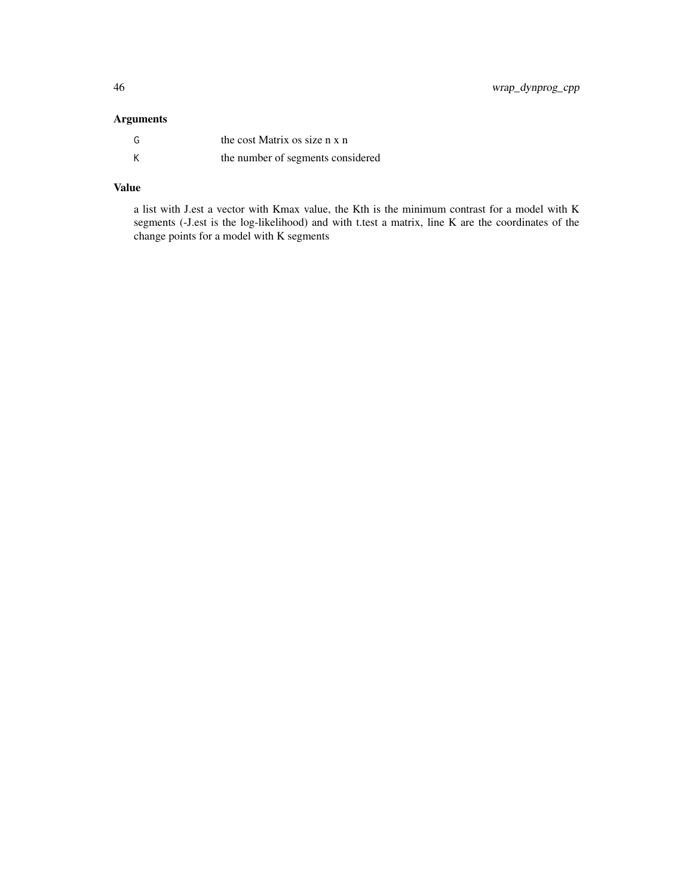### Arguments

| G | the cost Matrix os size n x n     |
|---|-----------------------------------|
| К | the number of segments considered |

### Value

a list with J.est a vector with Kmax value, the Kth is the minimum contrast for a model with K segments (-J.est is the log-likelihood) and with t.test a matrix, line K are the coordinates of the change points for a model with K segments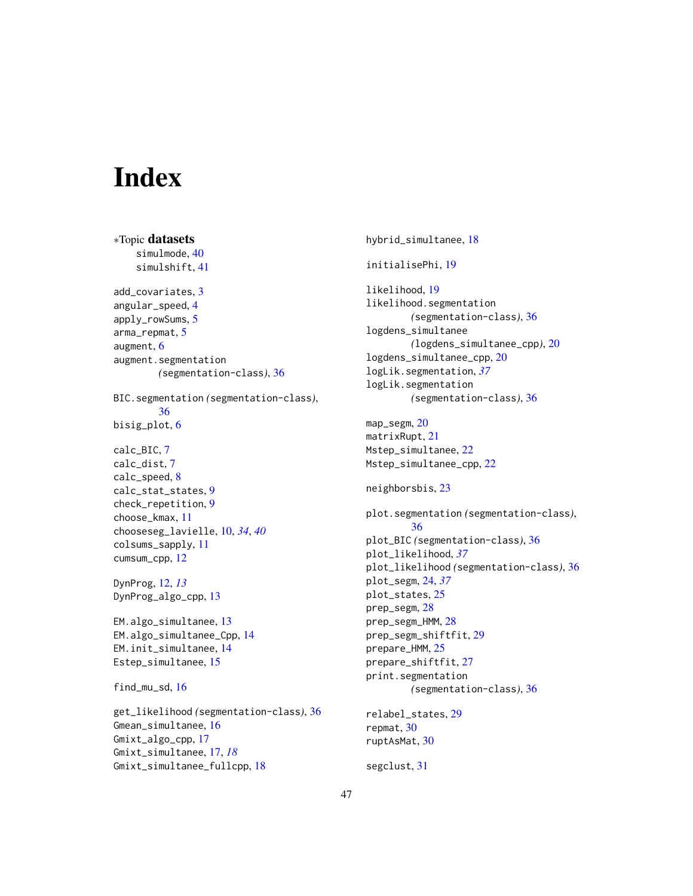# <span id="page-46-0"></span>**Index**

∗Topic datasets simulmode, [40](#page-39-0) simulshift, [41](#page-40-0) add\_covariates, [3](#page-2-0) angular\_speed, [4](#page-3-0) apply\_rowSums, [5](#page-4-0) arma\_repmat, [5](#page-4-0) augment, [6](#page-5-0) augment.segmentation *(*segmentation-class*)*, [36](#page-35-0) BIC.segmentation *(*segmentation-class*)*, [36](#page-35-0) bisig\_plot, [6](#page-5-0) calc\_BIC, [7](#page-6-0) calc\_dist, [7](#page-6-0) calc\_speed, [8](#page-7-0) calc\_stat\_states, [9](#page-8-0) check\_repetition, [9](#page-8-0) choose\_kmax, [11](#page-10-0) chooseseg\_lavielle, [10,](#page-9-0) *[34](#page-33-0)*, *[40](#page-39-0)* colsums\_sapply, [11](#page-10-0) cumsum\_cpp, [12](#page-11-0) DynProg, [12,](#page-11-0) *[13](#page-12-0)* DynProg\_algo\_cpp, [13](#page-12-0) EM.algo\_simultanee, [13](#page-12-0) EM.algo\_simultanee\_Cpp, [14](#page-13-0) EM.init\_simultanee, [14](#page-13-0) Estep\_simultanee, [15](#page-14-0) find mu sd,  $16$ get\_likelihood *(*segmentation-class*)*, [36](#page-35-0) Gmean\_simultanee, [16](#page-15-0) Gmixt\_algo\_cpp, [17](#page-16-0) Gmixt\_simultanee, [17,](#page-16-0) *[18](#page-17-0)* Gmixt\_simultanee\_fullcpp, [18](#page-17-0)

hybrid\_simultanee, [18](#page-17-0) initialisePhi, [19](#page-18-0) likelihood, [19](#page-18-0) likelihood.segmentation *(*segmentation-class*)*, [36](#page-35-0) logdens\_simultanee *(*logdens\_simultanee\_cpp*)*, [20](#page-19-0) logdens\_simultanee\_cpp, [20](#page-19-0) logLik.segmentation, *[37](#page-36-0)* logLik.segmentation *(*segmentation-class*)*, [36](#page-35-0) map\_segm, [20](#page-19-0) matrixRupt, [21](#page-20-0) Mstep\_simultanee, [22](#page-21-0) Mstep\_simultanee\_cpp, [22](#page-21-0) neighborsbis, [23](#page-22-0) plot.segmentation *(*segmentation-class*)*, [36](#page-35-0) plot\_BIC *(*segmentation-class*)*, [36](#page-35-0) plot\_likelihood, *[37](#page-36-0)* plot\_likelihood *(*segmentation-class*)*, [36](#page-35-0) plot\_segm, [24,](#page-23-0) *[37](#page-36-0)* plot\_states, [25](#page-24-0) prep\_segm, [28](#page-27-0) prep\_segm\_HMM, [28](#page-27-0) prep\_segm\_shiftfit, [29](#page-28-0) prepare\_HMM, [25](#page-24-0) prepare\_shiftfit, [27](#page-26-0) print.segmentation *(*segmentation-class*)*, [36](#page-35-0) relabel\_states, [29](#page-28-0) repmat, [30](#page-29-0) ruptAsMat, [30](#page-29-0) segclust, [31](#page-30-0)